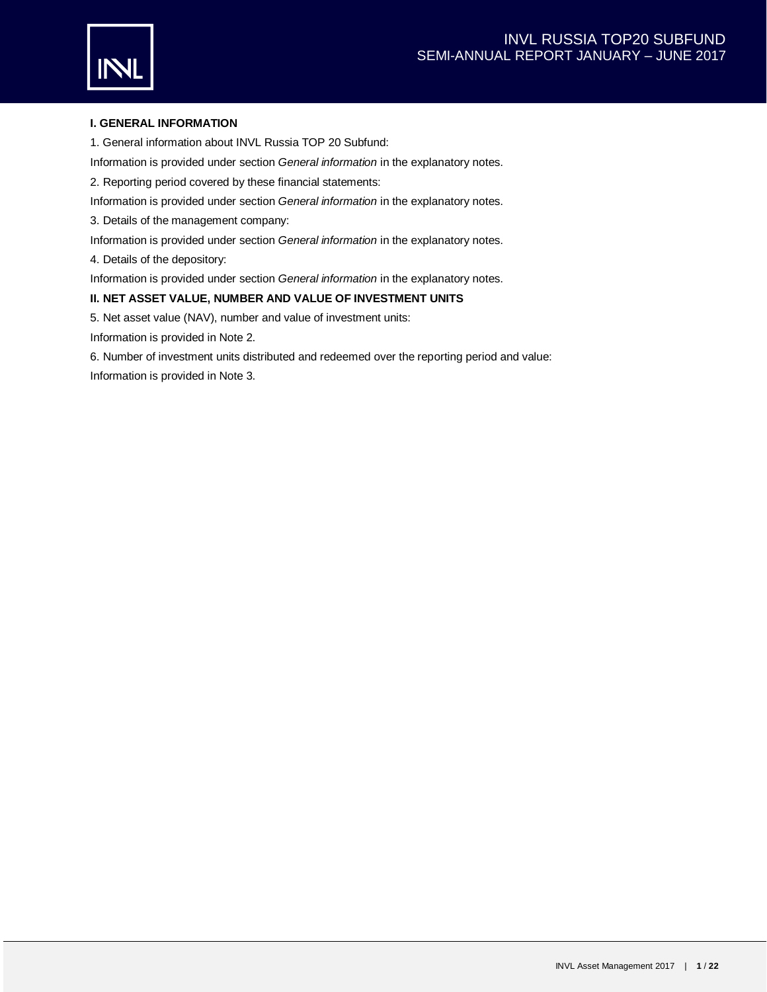

# **I. GENERAL INFORMATION**

1. General information about INVL Russia TOP 20 Subfund:

Information is provided under section *General information* in the explanatory notes.

2. Reporting period covered by these financial statements:

Information is provided under section *General information* in the explanatory notes.

3. Details of the management company:

Information is provided under section *General information* in the explanatory notes.

4. Details of the depository:

Information is provided under section *General information* in the explanatory notes.

## **II. NET ASSET VALUE, NUMBER AND VALUE OF INVESTMENT UNITS**

5. Net asset value (NAV), number and value of investment units:

Information is provided in Note 2.

6. Number of investment units distributed and redeemed over the reporting period and value: Information is provided in Note 3.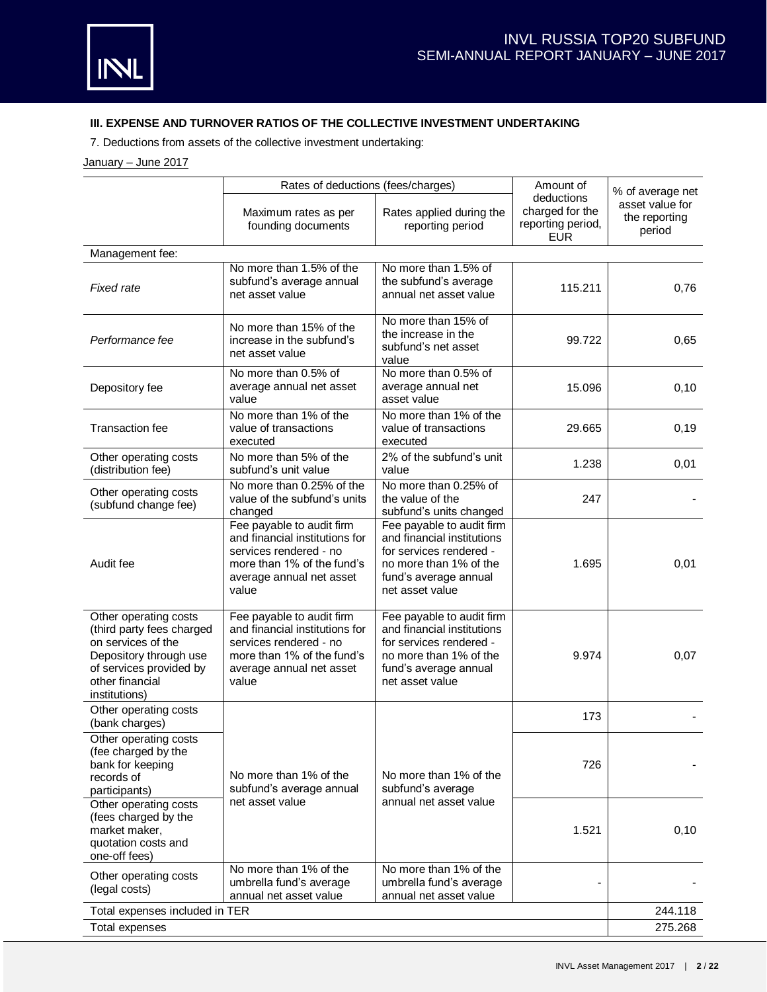# **III. EXPENSE AND TURNOVER RATIOS OF THE COLLECTIVE INVESTMENT UNDERTAKING**

7. Deductions from assets of the collective investment undertaking:

# January – June 2017

|                                                                                                                                                                   | Rates of deductions (fees/charges)                                                                                                                       | Amount of                                                                                                                                                |                                                                  | % of average net                           |  |
|-------------------------------------------------------------------------------------------------------------------------------------------------------------------|----------------------------------------------------------------------------------------------------------------------------------------------------------|----------------------------------------------------------------------------------------------------------------------------------------------------------|------------------------------------------------------------------|--------------------------------------------|--|
|                                                                                                                                                                   | Maximum rates as per<br>founding documents                                                                                                               | Rates applied during the<br>reporting period                                                                                                             | deductions<br>charged for the<br>reporting period,<br><b>EUR</b> | asset value for<br>the reporting<br>period |  |
| Management fee:                                                                                                                                                   |                                                                                                                                                          |                                                                                                                                                          |                                                                  |                                            |  |
| <b>Fixed rate</b>                                                                                                                                                 | No more than 1.5% of the<br>subfund's average annual<br>net asset value                                                                                  | No more than 1.5% of<br>the subfund's average<br>annual net asset value                                                                                  | 115.211                                                          | 0,76                                       |  |
| Performance fee                                                                                                                                                   | No more than 15% of the<br>increase in the subfund's<br>net asset value                                                                                  | No more than 15% of<br>the increase in the<br>subfund's net asset<br>value                                                                               | 99.722                                                           | 0,65                                       |  |
| Depository fee                                                                                                                                                    | No more than 0.5% of<br>average annual net asset<br>value                                                                                                | No more than 0.5% of<br>average annual net<br>asset value                                                                                                | 15.096                                                           | 0, 10                                      |  |
| Transaction fee                                                                                                                                                   | No more than 1% of the<br>value of transactions<br>executed                                                                                              | No more than 1% of the<br>value of transactions<br>executed                                                                                              | 29.665                                                           | 0, 19                                      |  |
| Other operating costs<br>(distribution fee)                                                                                                                       | No more than 5% of the<br>subfund's unit value                                                                                                           | 2% of the subfund's unit<br>value                                                                                                                        | 1.238                                                            | 0,01                                       |  |
| Other operating costs<br>(subfund change fee)                                                                                                                     | No more than 0.25% of the<br>value of the subfund's units<br>changed                                                                                     | No more than 0.25% of<br>the value of the<br>subfund's units changed                                                                                     | 247                                                              |                                            |  |
| Audit fee                                                                                                                                                         | Fee payable to audit firm<br>and financial institutions for<br>services rendered - no<br>more than 1% of the fund's<br>average annual net asset<br>value | Fee payable to audit firm<br>and financial institutions<br>for services rendered -<br>no more than 1% of the<br>fund's average annual<br>net asset value | 1.695                                                            | 0,01                                       |  |
| Other operating costs<br>(third party fees charged<br>on services of the<br>Depository through use<br>of services provided by<br>other financial<br>institutions) | Fee payable to audit firm<br>and financial institutions for<br>services rendered - no<br>more than 1% of the fund's<br>average annual net asset<br>value | Fee payable to audit firm<br>and financial institutions<br>for services rendered -<br>no more than 1% of the<br>fund's average annual<br>net asset value | 9.974                                                            | 0,07                                       |  |
| Other operating costs<br>(bank charges)                                                                                                                           |                                                                                                                                                          |                                                                                                                                                          | 173                                                              |                                            |  |
| Other operating costs<br>(fee charged by the<br>bank for keeping<br>records of<br>participants)                                                                   | No more than 1% of the<br>subfund's average annual                                                                                                       | No more than 1% of the<br>subfund's average                                                                                                              | 726                                                              |                                            |  |
| Other operating costs<br>(fees charged by the<br>market maker.<br>quotation costs and<br>one-off fees)                                                            | net asset value                                                                                                                                          | annual net asset value                                                                                                                                   | 1.521                                                            | 0,10                                       |  |
| Other operating costs<br>(legal costs)                                                                                                                            | No more than 1% of the<br>umbrella fund's average<br>annual net asset value                                                                              | No more than 1% of the<br>umbrella fund's average<br>annual net asset value                                                                              |                                                                  |                                            |  |
| Total expenses included in TER                                                                                                                                    |                                                                                                                                                          |                                                                                                                                                          |                                                                  | 244.118                                    |  |
| <b>Total expenses</b>                                                                                                                                             | 275.268                                                                                                                                                  |                                                                                                                                                          |                                                                  |                                            |  |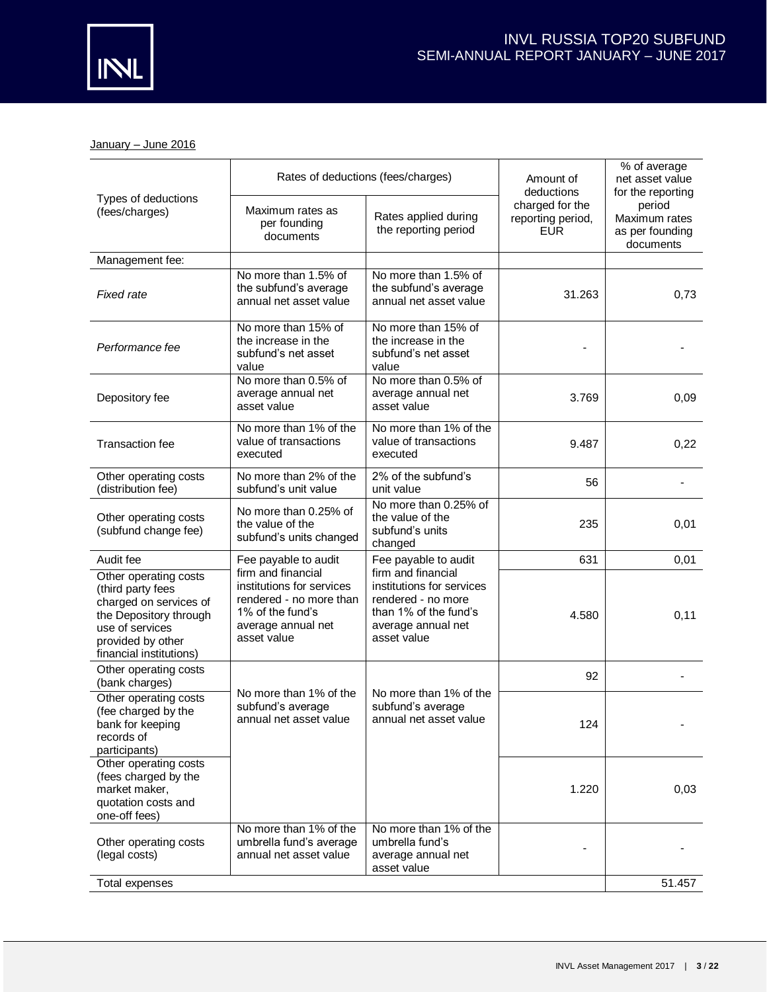

January - June 2016

|                                                                                                                                                                   | Rates of deductions (fees/charges)                                                                                                  |                                                                                                                                     | % of average<br>Amount of<br>net asset value<br>deductions<br>for the reporting |                                                         |
|-------------------------------------------------------------------------------------------------------------------------------------------------------------------|-------------------------------------------------------------------------------------------------------------------------------------|-------------------------------------------------------------------------------------------------------------------------------------|---------------------------------------------------------------------------------|---------------------------------------------------------|
| Types of deductions<br>(fees/charges)                                                                                                                             | Maximum rates as<br>per founding<br>documents                                                                                       | Rates applied during<br>the reporting period                                                                                        | charged for the<br>reporting period,<br><b>EUR</b>                              | period<br>Maximum rates<br>as per founding<br>documents |
| Management fee:                                                                                                                                                   |                                                                                                                                     |                                                                                                                                     |                                                                                 |                                                         |
| <b>Fixed rate</b>                                                                                                                                                 | No more than 1.5% of<br>the subfund's average<br>annual net asset value                                                             | No more than 1.5% of<br>the subfund's average<br>annual net asset value                                                             | 31.263                                                                          | 0,73                                                    |
| Performance fee                                                                                                                                                   | No more than 15% of<br>the increase in the<br>subfund's net asset<br>value                                                          | No more than 15% of<br>the increase in the<br>subfund's net asset<br>value                                                          |                                                                                 |                                                         |
| Depository fee                                                                                                                                                    | No more than 0.5% of<br>average annual net<br>asset value                                                                           | No more than 0.5% of<br>average annual net<br>asset value                                                                           | 3.769                                                                           | 0,09                                                    |
| <b>Transaction fee</b>                                                                                                                                            | No more than 1% of the<br>value of transactions<br>executed                                                                         | No more than 1% of the<br>value of transactions<br>executed                                                                         | 9.487                                                                           | 0,22                                                    |
| Other operating costs<br>(distribution fee)                                                                                                                       | No more than 2% of the<br>subfund's unit value                                                                                      | 2% of the subfund's<br>unit value                                                                                                   | 56                                                                              |                                                         |
| Other operating costs<br>(subfund change fee)                                                                                                                     | No more than 0.25% of<br>the value of the<br>subfund's units changed                                                                | No more than 0.25% of<br>the value of the<br>subfund's units<br>changed                                                             | 235                                                                             | 0,01                                                    |
| Audit fee                                                                                                                                                         | Fee payable to audit                                                                                                                | Fee payable to audit                                                                                                                | 631                                                                             | 0,01                                                    |
| Other operating costs<br>(third party fees<br>charged on services of<br>the Depository through<br>use of services<br>provided by other<br>financial institutions) | firm and financial<br>institutions for services<br>rendered - no more than<br>1% of the fund's<br>average annual net<br>asset value | firm and financial<br>institutions for services<br>rendered - no more<br>than 1% of the fund's<br>average annual net<br>asset value | 4.580                                                                           | 0,11                                                    |
| Other operating costs<br>(bank charges)                                                                                                                           |                                                                                                                                     |                                                                                                                                     | 92                                                                              |                                                         |
| Other operating costs<br>(fee charged by the<br>bank for keeping<br>records of<br>participants)                                                                   | No more than 1% of the<br>subfund's average<br>annual net asset value                                                               | No more than 1% of the<br>subfund's average<br>annual net asset value                                                               | 124                                                                             |                                                         |
| Other operating costs<br>(fees charged by the<br>market maker,<br>quotation costs and<br>one-off fees)                                                            |                                                                                                                                     |                                                                                                                                     | 1.220                                                                           | 0,03                                                    |
| Other operating costs<br>(legal costs)                                                                                                                            | No more than 1% of the<br>umbrella fund's average<br>annual net asset value                                                         | No more than 1% of the<br>umbrella fund's<br>average annual net<br>asset value                                                      |                                                                                 |                                                         |
| Total expenses                                                                                                                                                    |                                                                                                                                     |                                                                                                                                     |                                                                                 | 51.457                                                  |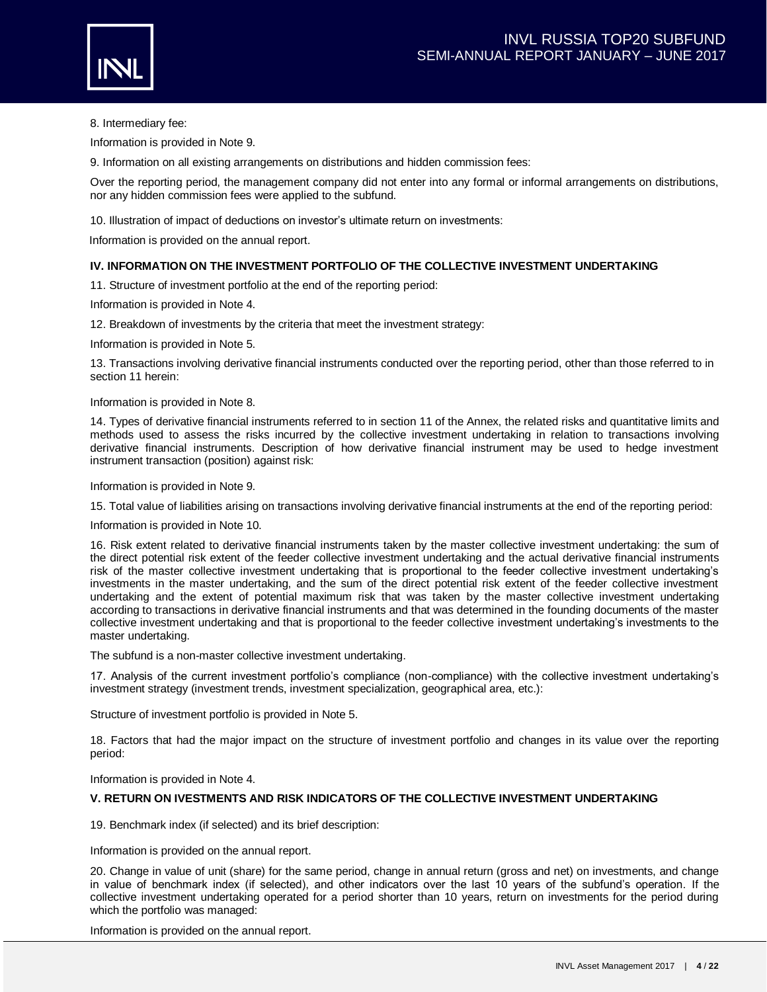

8. Intermediary fee:

Information is provided in Note 9.

9. Information on all existing arrangements on distributions and hidden commission fees:

Over the reporting period, the management company did not enter into any formal or informal arrangements on distributions, nor any hidden commission fees were applied to the subfund.

10. Illustration of impact of deductions on investor's ultimate return on investments:

Information is provided on the annual report.

## **IV. INFORMATION ON THE INVESTMENT PORTFOLIO OF THE COLLECTIVE INVESTMENT UNDERTAKING**

11. Structure of investment portfolio at the end of the reporting period:

Information is provided in Note 4.

12. Breakdown of investments by the criteria that meet the investment strategy:

Information is provided in Note 5.

13. Transactions involving derivative financial instruments conducted over the reporting period, other than those referred to in section 11 herein:

Information is provided in Note 8.

14. Types of derivative financial instruments referred to in section 11 of the Annex, the related risks and quantitative limits and methods used to assess the risks incurred by the collective investment undertaking in relation to transactions involving derivative financial instruments. Description of how derivative financial instrument may be used to hedge investment instrument transaction (position) against risk:

Information is provided in Note 9.

15. Total value of liabilities arising on transactions involving derivative financial instruments at the end of the reporting period:

Information is provided in Note 10.

16. Risk extent related to derivative financial instruments taken by the master collective investment undertaking: the sum of the direct potential risk extent of the feeder collective investment undertaking and the actual derivative financial instruments risk of the master collective investment undertaking that is proportional to the feeder collective investment undertaking's investments in the master undertaking, and the sum of the direct potential risk extent of the feeder collective investment undertaking and the extent of potential maximum risk that was taken by the master collective investment undertaking according to transactions in derivative financial instruments and that was determined in the founding documents of the master collective investment undertaking and that is proportional to the feeder collective investment undertaking's investments to the master undertaking.

The subfund is a non-master collective investment undertaking.

17. Analysis of the current investment portfolio's compliance (non-compliance) with the collective investment undertaking's investment strategy (investment trends, investment specialization, geographical area, etc.):

Structure of investment portfolio is provided in Note 5.

18. Factors that had the major impact on the structure of investment portfolio and changes in its value over the reporting period:

Information is provided in Note 4.

## **V. RETURN ON IVESTMENTS AND RISK INDICATORS OF THE COLLECTIVE INVESTMENT UNDERTAKING**

19. Benchmark index (if selected) and its brief description:

Information is provided on the annual report.

20. Change in value of unit (share) for the same period, change in annual return (gross and net) on investments, and change in value of benchmark index (if selected), and other indicators over the last 10 years of the subfund's operation. If the collective investment undertaking operated for a period shorter than 10 years, return on investments for the period during which the portfolio was managed:

Information is provided on the annual report.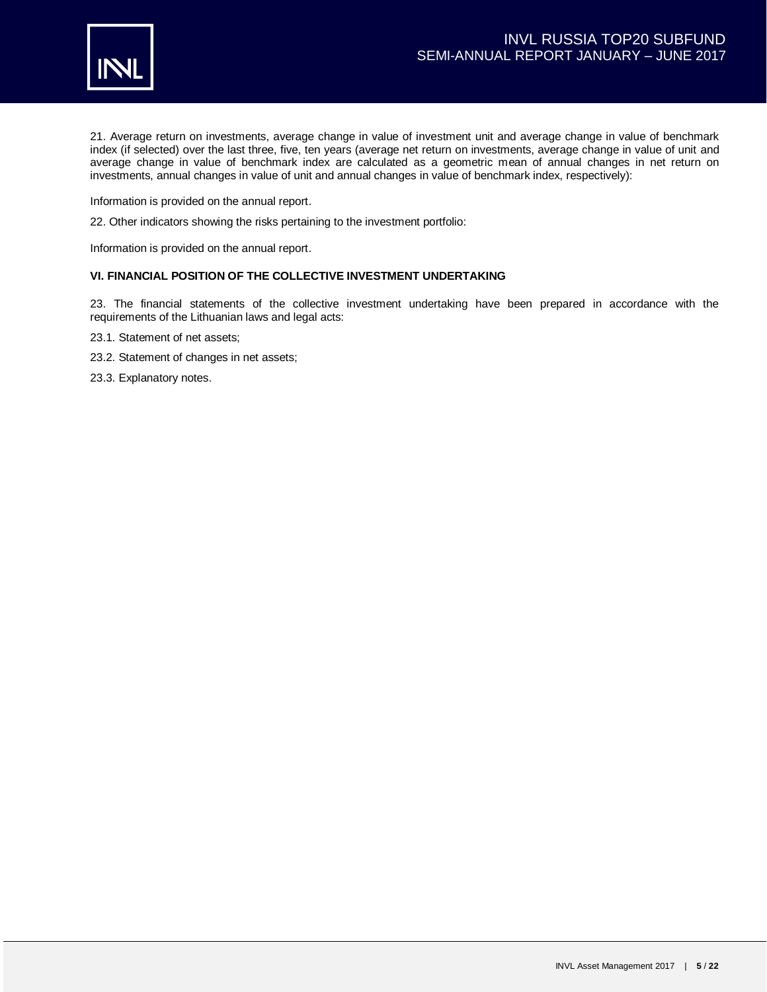

21. Average return on investments, average change in value of investment unit and average change in value of benchmark index (if selected) over the last three, five, ten years (average net return on investments, average change in value of unit and average change in value of benchmark index are calculated as a geometric mean of annual changes in net return on investments, annual changes in value of unit and annual changes in value of benchmark index, respectively):

Information is provided on the annual report.

22. Other indicators showing the risks pertaining to the investment portfolio:

Information is provided on the annual report.

## **VI. FINANCIAL POSITION OF THE COLLECTIVE INVESTMENT UNDERTAKING**

23. The financial statements of the collective investment undertaking have been prepared in accordance with the requirements of the Lithuanian laws and legal acts:

- 23.1. Statement of net assets;
- 23.2. Statement of changes in net assets;
- 23.3. Explanatory notes.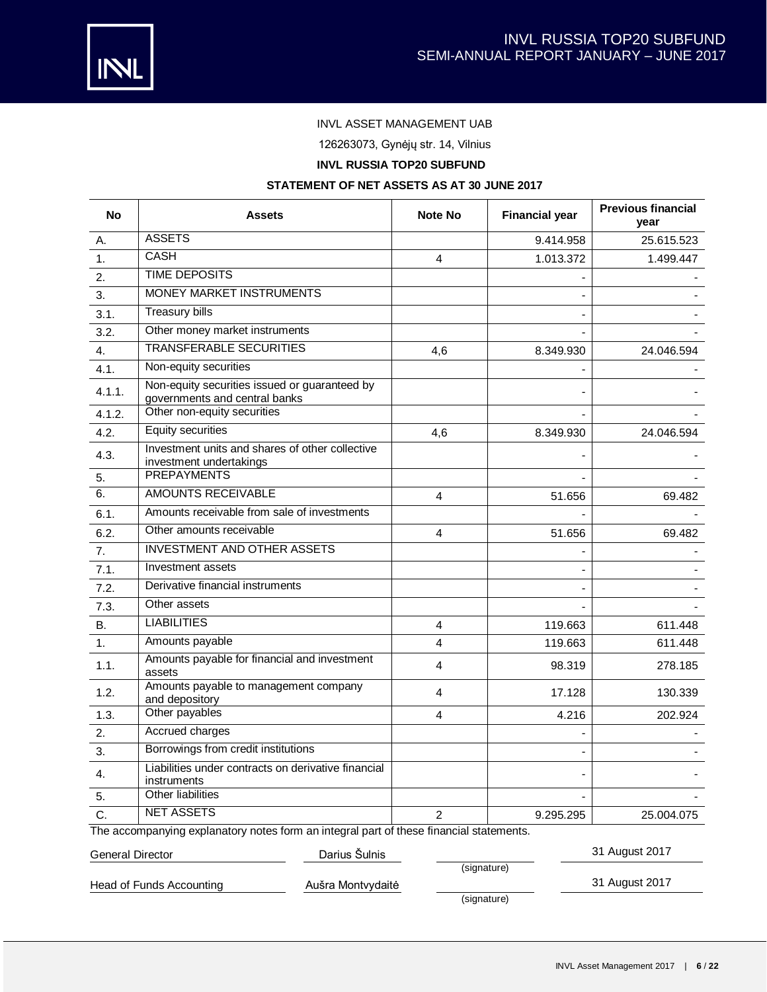

# INVL ASSET MANAGEMENT UAB

126263073, Gynėjų str. 14, Vilnius

# **INVL RUSSIA TOP20 SUBFUND**

## **STATEMENT OF NET ASSETS AS AT 30 JUNE 2017**

| <b>No</b> | <b>Assets</b>                                                                           | <b>Note No</b> | <b>Financial year</b> | <b>Previous financial</b><br>vear |
|-----------|-----------------------------------------------------------------------------------------|----------------|-----------------------|-----------------------------------|
| А.        | <b>ASSETS</b>                                                                           |                | 9.414.958             | 25.615.523                        |
| 1.        | <b>CASH</b>                                                                             | 4              | 1.013.372             | 1.499.447                         |
| 2.        | <b>TIME DEPOSITS</b>                                                                    |                |                       |                                   |
| 3.        | MONEY MARKET INSTRUMENTS                                                                |                |                       |                                   |
| 3.1.      | <b>Treasury bills</b>                                                                   |                |                       |                                   |
| 3.2.      | Other money market instruments                                                          |                |                       |                                   |
| 4.        | <b>TRANSFERABLE SECURITIES</b>                                                          | 4,6            | 8.349.930             | 24.046.594                        |
| 4.1.      | Non-equity securities                                                                   |                |                       |                                   |
| 4.1.1.    | Non-equity securities issued or guaranteed by<br>governments and central banks          |                |                       |                                   |
| 4.1.2.    | Other non-equity securities                                                             |                |                       |                                   |
| 4.2.      | <b>Equity securities</b>                                                                | 4.6            | 8.349.930             | 24.046.594                        |
| 4.3.      | Investment units and shares of other collective<br>investment undertakings              |                |                       |                                   |
| 5.        | <b>PREPAYMENTS</b>                                                                      |                |                       |                                   |
| 6.        | <b>AMOUNTS RECEIVABLE</b>                                                               | 4              | 51.656                | 69.482                            |
| 6.1.      | Amounts receivable from sale of investments                                             |                |                       |                                   |
| 6.2.      | Other amounts receivable                                                                | 4              | 51.656                | 69.482                            |
| 7.        | <b>INVESTMENT AND OTHER ASSETS</b>                                                      |                |                       |                                   |
| 7.1.      | Investment assets                                                                       |                |                       |                                   |
| 7.2.      | Derivative financial instruments                                                        |                |                       |                                   |
| 7.3.      | Other assets                                                                            |                |                       |                                   |
| <b>B.</b> | <b>LIABILITIES</b>                                                                      | 4              | 119.663               | 611.448                           |
| 1.        | Amounts payable                                                                         | $\overline{4}$ | 119.663               | 611.448                           |
| 1.1.      | Amounts payable for financial and investment<br>assets                                  | $\overline{4}$ | 98.319                | 278.185                           |
| 1.2.      | Amounts payable to management company<br>and depository                                 | 4              | 17.128                | 130.339                           |
| 1.3.      | Other payables                                                                          | 4              | 4.216                 | 202.924                           |
| 2.        | Accrued charges                                                                         |                |                       |                                   |
| 3.        | Borrowings from credit institutions                                                     |                |                       |                                   |
| 4.        | Liabilities under contracts on derivative financial<br>instruments                      |                |                       |                                   |
| 5.        | Other liabilities                                                                       |                |                       |                                   |
| C.        | <b>NET ASSETS</b>                                                                       | $\overline{2}$ | 9.295.295             | 25.004.075                        |
|           | The accompanying explanatory notes form an integral part of these financial statements. |                |                       |                                   |

# General Director **Contracts** Darius Šulnis **Contracts** 31 August 2017 (signature) Head of Funds Accounting **Austra Montvydaite** 31 August 2017 (signature)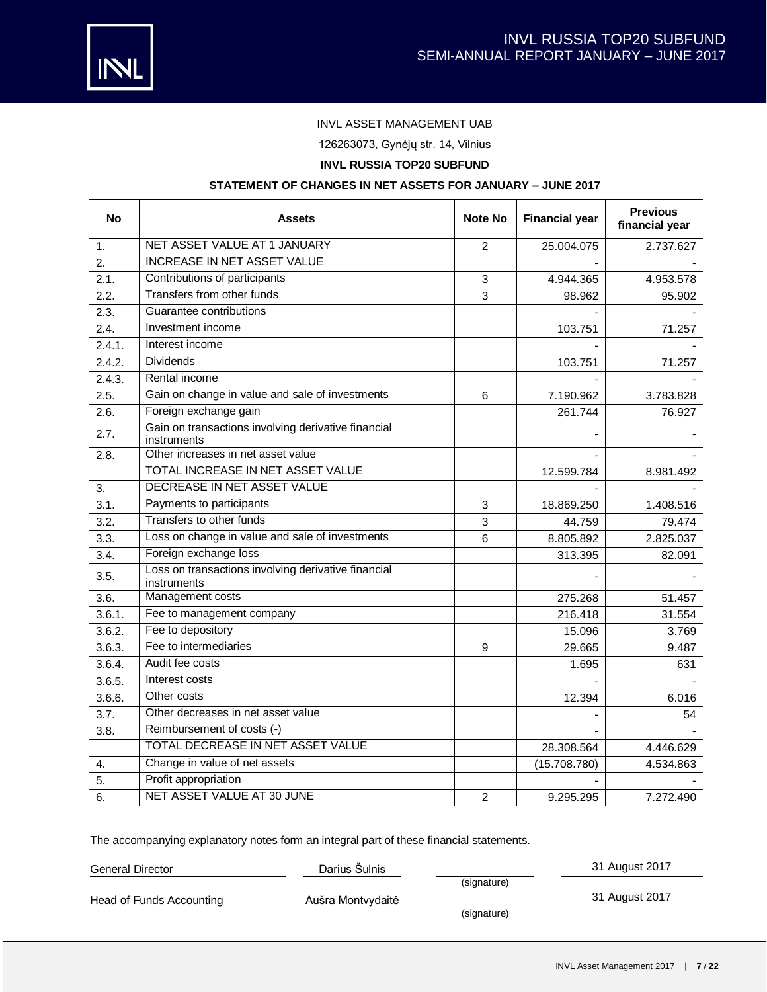



# INVL ASSET MANAGEMENT UAB

126263073, Gynėjų str. 14, Vilnius

# **INVL RUSSIA TOP20 SUBFUND**

### **STATEMENT OF CHANGES IN NET ASSETS FOR JANUARY – JUNE 2017**

| <b>No</b> | <b>Assets</b>                                                      |                | <b>Financial year</b> | <b>Previous</b><br>financial year |
|-----------|--------------------------------------------------------------------|----------------|-----------------------|-----------------------------------|
| 1.        | NET ASSET VALUE AT 1 JANUARY                                       | 2              | 25.004.075            | 2.737.627                         |
| 2.        | <b>INCREASE IN NET ASSET VALUE</b>                                 |                |                       |                                   |
| 2.1.      | Contributions of participants                                      | 3              | 4.944.365             | 4.953.578                         |
| 2.2.      | Transfers from other funds                                         | 3              | 98.962                | 95.902                            |
| 2.3.      | Guarantee contributions                                            |                |                       |                                   |
| 2.4.      | Investment income                                                  |                | 103.751               | 71.257                            |
| 2.4.1.    | Interest income                                                    |                |                       |                                   |
| 2.4.2.    | <b>Dividends</b>                                                   |                | 103.751               | 71.257                            |
| 2.4.3.    | Rental income                                                      |                |                       |                                   |
| 2.5.      | Gain on change in value and sale of investments                    | 6              | 7.190.962             | 3.783.828                         |
| 2.6.      | Foreign exchange gain                                              |                | 261.744               | 76.927                            |
| 2.7.      | Gain on transactions involving derivative financial<br>instruments |                |                       |                                   |
| 2.8.      | Other increases in net asset value                                 |                |                       |                                   |
|           | TOTAL INCREASE IN NET ASSET VALUE                                  |                | 12.599.784            | 8.981.492                         |
| 3.        | DECREASE IN NET ASSET VALUE                                        |                |                       |                                   |
| 3.1.      | Payments to participants                                           | 3              | 18.869.250            | 1.408.516                         |
| 3.2.      | Transfers to other funds                                           | 3              | 44.759                | 79.474                            |
| 3.3.      | Loss on change in value and sale of investments                    | 6              | 8.805.892             | 2.825.037                         |
| 3.4.      | Foreign exchange loss                                              |                | 313.395               | 82.091                            |
| 3.5.      | Loss on transactions involving derivative financial<br>instruments |                |                       |                                   |
| 3.6.      | Management costs                                                   |                | 275.268               | 51.457                            |
| 3.6.1.    | Fee to management company                                          |                | 216.418               | 31.554                            |
| 3.6.2.    | Fee to depository                                                  |                | 15.096                | 3.769                             |
| 3.6.3.    | Fee to intermediaries                                              | 9              | 29.665                | 9.487                             |
| 3.6.4.    | Audit fee costs                                                    |                | 1.695                 | 631                               |
| 3.6.5.    | Interest costs                                                     |                |                       |                                   |
| 3.6.6.    | Other costs                                                        |                | 12.394                | 6.016                             |
| 3.7.      | Other decreases in net asset value                                 |                |                       | 54                                |
| 3.8.      | Reimbursement of costs (-)                                         |                |                       |                                   |
|           | TOTAL DECREASE IN NET ASSET VALUE                                  |                | 28.308.564            | 4.446.629                         |
| 4.        | Change in value of net assets                                      |                | (15.708.780)          | 4.534.863                         |
| 5.        | Profit appropriation                                               |                |                       |                                   |
| 6.        | NET ASSET VALUE AT 30 JUNE                                         | $\overline{c}$ | 9.295.295             | 7.272.490                         |

The accompanying explanatory notes form an integral part of these financial statements.

General Director **Contracts** Darius Šulnis **Contracts** 31 August 2017

Head of Funds Accounting Aušra Montvydaitė (Burno Australia) 131 August 2017

(signature)

(signature)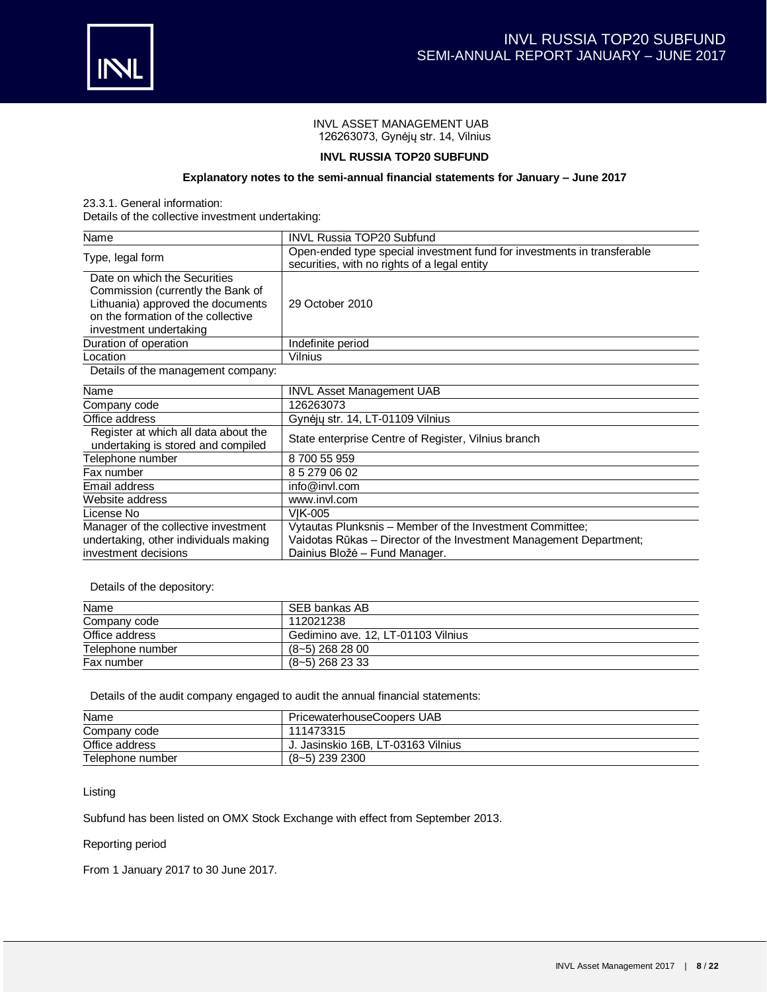

## INVL ASSET MANAGEMENT UAB 126263073, Gynėjų str. 14, Vilnius

### **INVL RUSSIA TOP20 SUBFUND**

## **Explanatory notes to the semi-annual financial statements for January – June 2017**

23.3.1. General information:

Details of the collective investment undertaking:

| Name                                                                                                                                                                   | <b>INVL Russia TOP20 Subfund</b>                                                                                                                                |  |  |
|------------------------------------------------------------------------------------------------------------------------------------------------------------------------|-----------------------------------------------------------------------------------------------------------------------------------------------------------------|--|--|
| Type, legal form                                                                                                                                                       | Open-ended type special investment fund for investments in transferable<br>securities, with no rights of a legal entity                                         |  |  |
| Date on which the Securities<br>Commission (currently the Bank of<br>Lithuania) approved the documents<br>on the formation of the collective<br>investment undertaking | 29 October 2010                                                                                                                                                 |  |  |
| Duration of operation                                                                                                                                                  | Indefinite period                                                                                                                                               |  |  |
| Location                                                                                                                                                               | Vilnius                                                                                                                                                         |  |  |
| Details of the management company:                                                                                                                                     |                                                                                                                                                                 |  |  |
| Name                                                                                                                                                                   | <b>INVL Asset Management UAB</b>                                                                                                                                |  |  |
| Company code                                                                                                                                                           | 126263073                                                                                                                                                       |  |  |
| Office address                                                                                                                                                         | Gynėjų str. 14, LT-01109 Vilnius                                                                                                                                |  |  |
| Register at which all data about the<br>undertaking is stored and compiled                                                                                             | State enterprise Centre of Register, Vilnius branch                                                                                                             |  |  |
| Telephone number                                                                                                                                                       | 8700 55 959                                                                                                                                                     |  |  |
| Fax number                                                                                                                                                             | 8 5 279 06 02                                                                                                                                                   |  |  |
| Email address                                                                                                                                                          | info@invl.com                                                                                                                                                   |  |  |
| Website address                                                                                                                                                        | www.invl.com                                                                                                                                                    |  |  |
| License No                                                                                                                                                             | <b>VIK-005</b>                                                                                                                                                  |  |  |
| Manager of the collective investment<br>undertaking, other individuals making<br>investment decisions                                                                  | Vytautas Plunksnis - Member of the Investment Committee;<br>Vaidotas Rūkas - Director of the Investment Management Department;<br>Dainius Bložė – Fund Manager. |  |  |

Details of the depository:

| Name             | SEB bankas AB                      |
|------------------|------------------------------------|
| Company code     | 112021238                          |
| Office address   | Gedimino ave. 12, LT-01103 Vilnius |
| Telephone number | $(8-5)$ 268 28 00                  |
| Fax number       | $(8-5)$ 268 23 33                  |

Details of the audit company engaged to audit the annual financial statements:

| Name             | PricewaterhouseCoopers UAB         |
|------------------|------------------------------------|
| Company code     | 111473315                          |
| Office address   | J. Jasinskio 16B. LT-03163 Vilnius |
| Telephone number | $(8-5)$ 239 2300                   |

Listing

Subfund has been listed on OMX Stock Exchange with effect from September 2013.

## Reporting period

From 1 January 2017 to 30 June 2017.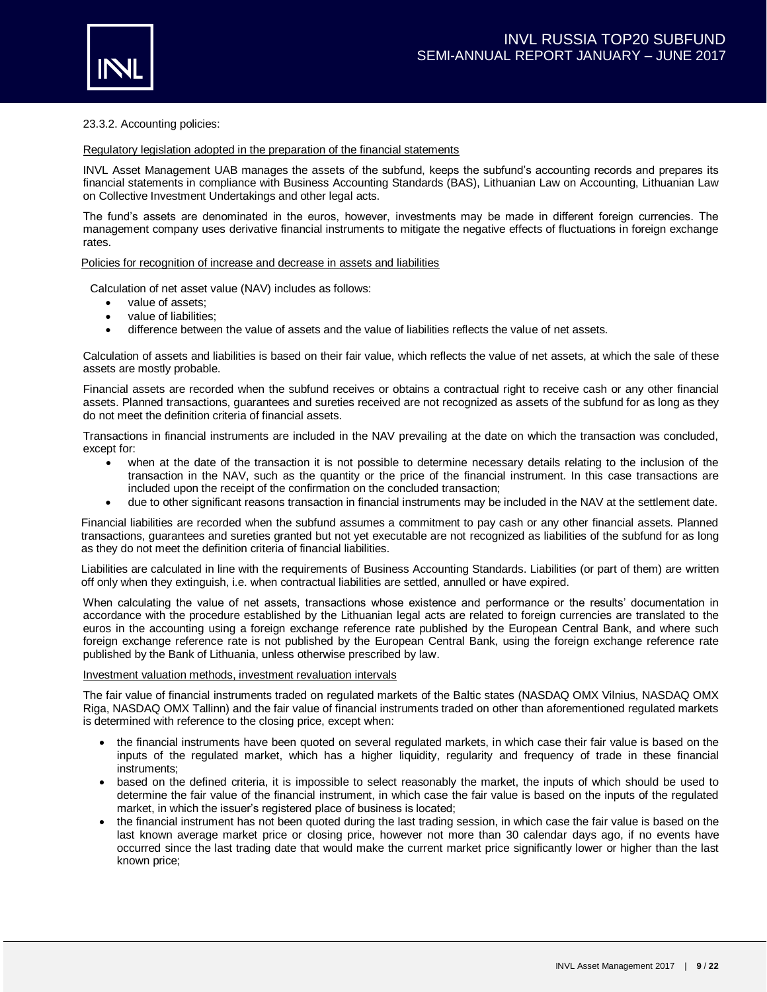

### 23.3.2. Accounting policies:

#### Regulatory legislation adopted in the preparation of the financial statements

INVL Asset Management UAB manages the assets of the subfund, keeps the subfund's accounting records and prepares its financial statements in compliance with Business Accounting Standards (BAS), Lithuanian Law on Accounting, Lithuanian Law on Collective Investment Undertakings and other legal acts.

The fund's assets are denominated in the euros, however, investments may be made in different foreign currencies. The management company uses derivative financial instruments to mitigate the negative effects of fluctuations in foreign exchange rates.

#### Policies for recognition of increase and decrease in assets and liabilities

Calculation of net asset value (NAV) includes as follows:

- value of assets:
- value of liabilities:
- difference between the value of assets and the value of liabilities reflects the value of net assets.

Calculation of assets and liabilities is based on their fair value, which reflects the value of net assets, at which the sale of these assets are mostly probable.

Financial assets are recorded when the subfund receives or obtains a contractual right to receive cash or any other financial assets. Planned transactions, guarantees and sureties received are not recognized as assets of the subfund for as long as they do not meet the definition criteria of financial assets.

Transactions in financial instruments are included in the NAV prevailing at the date on which the transaction was concluded, except for:

- when at the date of the transaction it is not possible to determine necessary details relating to the inclusion of the transaction in the NAV, such as the quantity or the price of the financial instrument. In this case transactions are included upon the receipt of the confirmation on the concluded transaction;
- due to other significant reasons transaction in financial instruments may be included in the NAV at the settlement date.

Financial liabilities are recorded when the subfund assumes a commitment to pay cash or any other financial assets. Planned transactions, guarantees and sureties granted but not yet executable are not recognized as liabilities of the subfund for as long as they do not meet the definition criteria of financial liabilities.

Liabilities are calculated in line with the requirements of Business Accounting Standards. Liabilities (or part of them) are written off only when they extinguish, i.e. when contractual liabilities are settled, annulled or have expired.

When calculating the value of net assets, transactions whose existence and performance or the results' documentation in accordance with the procedure established by the Lithuanian legal acts are related to foreign currencies are translated to the euros in the accounting using a foreign exchange reference rate published by the European Central Bank, and where such foreign exchange reference rate is not published by the European Central Bank, using the foreign exchange reference rate published by the Bank of Lithuania, unless otherwise prescribed by law.

#### Investment valuation methods, investment revaluation intervals

The fair value of financial instruments traded on regulated markets of the Baltic states (NASDAQ OMX Vilnius, NASDAQ OMX Riga, NASDAQ OMX Tallinn) and the fair value of financial instruments traded on other than aforementioned regulated markets is determined with reference to the closing price, except when:

- the financial instruments have been quoted on several regulated markets, in which case their fair value is based on the inputs of the regulated market, which has a higher liquidity, regularity and frequency of trade in these financial instruments;
- based on the defined criteria, it is impossible to select reasonably the market, the inputs of which should be used to determine the fair value of the financial instrument, in which case the fair value is based on the inputs of the regulated market, in which the issuer's registered place of business is located;
- the financial instrument has not been quoted during the last trading session, in which case the fair value is based on the last known average market price or closing price, however not more than 30 calendar days ago, if no events have occurred since the last trading date that would make the current market price significantly lower or higher than the last known price;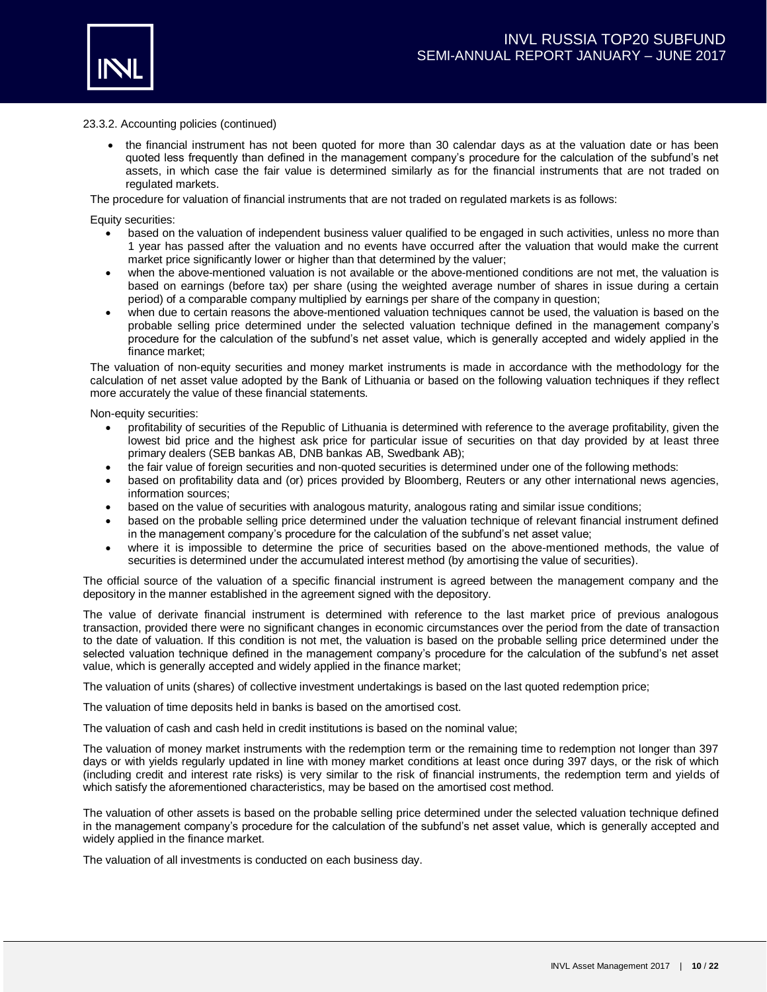

#### 23.3.2. Accounting policies (continued)

• the financial instrument has not been quoted for more than 30 calendar days as at the valuation date or has been quoted less frequently than defined in the management company's procedure for the calculation of the subfund's net assets, in which case the fair value is determined similarly as for the financial instruments that are not traded on regulated markets.

The procedure for valuation of financial instruments that are not traded on regulated markets is as follows:

Equity securities:

- based on the valuation of independent business valuer qualified to be engaged in such activities, unless no more than 1 year has passed after the valuation and no events have occurred after the valuation that would make the current market price significantly lower or higher than that determined by the valuer;
- when the above-mentioned valuation is not available or the above-mentioned conditions are not met, the valuation is based on earnings (before tax) per share (using the weighted average number of shares in issue during a certain period) of a comparable company multiplied by earnings per share of the company in question;
- when due to certain reasons the above-mentioned valuation techniques cannot be used, the valuation is based on the probable selling price determined under the selected valuation technique defined in the management company's procedure for the calculation of the subfund's net asset value, which is generally accepted and widely applied in the finance market;

The valuation of non-equity securities and money market instruments is made in accordance with the methodology for the calculation of net asset value adopted by the Bank of Lithuania or based on the following valuation techniques if they reflect more accurately the value of these financial statements.

Non-equity securities:

- profitability of securities of the Republic of Lithuania is determined with reference to the average profitability, given the lowest bid price and the highest ask price for particular issue of securities on that day provided by at least three primary dealers (SEB bankas AB, DNB bankas AB, Swedbank AB);
- the fair value of foreign securities and non-quoted securities is determined under one of the following methods:
- based on profitability data and (or) prices provided by Bloomberg, Reuters or any other international news agencies, information sources;
- based on the value of securities with analogous maturity, analogous rating and similar issue conditions;
- based on the probable selling price determined under the valuation technique of relevant financial instrument defined in the management company's procedure for the calculation of the subfund's net asset value;
- where it is impossible to determine the price of securities based on the above-mentioned methods, the value of securities is determined under the accumulated interest method (by amortising the value of securities).

The official source of the valuation of a specific financial instrument is agreed between the management company and the depository in the manner established in the agreement signed with the depository.

The value of derivate financial instrument is determined with reference to the last market price of previous analogous transaction, provided there were no significant changes in economic circumstances over the period from the date of transaction to the date of valuation. If this condition is not met, the valuation is based on the probable selling price determined under the selected valuation technique defined in the management company's procedure for the calculation of the subfund's net asset value, which is generally accepted and widely applied in the finance market;

The valuation of units (shares) of collective investment undertakings is based on the last quoted redemption price;

The valuation of time deposits held in banks is based on the amortised cost.

The valuation of cash and cash held in credit institutions is based on the nominal value;

The valuation of money market instruments with the redemption term or the remaining time to redemption not longer than 397 days or with yields regularly updated in line with money market conditions at least once during 397 days, or the risk of which (including credit and interest rate risks) is very similar to the risk of financial instruments, the redemption term and yields of which satisfy the aforementioned characteristics, may be based on the amortised cost method.

The valuation of other assets is based on the probable selling price determined under the selected valuation technique defined in the management company's procedure for the calculation of the subfund's net asset value, which is generally accepted and widely applied in the finance market.

The valuation of all investments is conducted on each business day.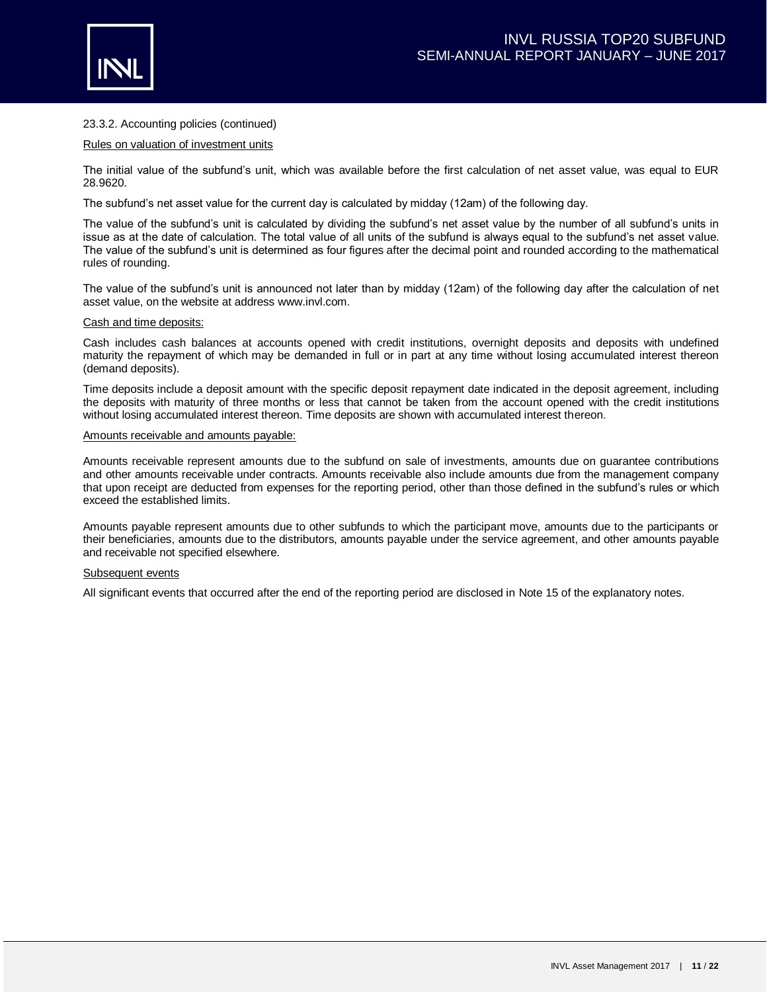



### 23.3.2. Accounting policies (continued)

#### Rules on valuation of investment units

The initial value of the subfund's unit, which was available before the first calculation of net asset value, was equal to EUR 28.9620.

The subfund's net asset value for the current day is calculated by midday (12am) of the following day.

The value of the subfund's unit is calculated by dividing the subfund's net asset value by the number of all subfund's units in issue as at the date of calculation. The total value of all units of the subfund is always equal to the subfund's net asset value. The value of the subfund's unit is determined as four figures after the decimal point and rounded according to the mathematical rules of rounding.

The value of the subfund's unit is announced not later than by midday (12am) of the following day after the calculation of net asset value, on the website at address www.invl.com.

#### Cash and time deposits:

Cash includes cash balances at accounts opened with credit institutions, overnight deposits and deposits with undefined maturity the repayment of which may be demanded in full or in part at any time without losing accumulated interest thereon (demand deposits).

Time deposits include a deposit amount with the specific deposit repayment date indicated in the deposit agreement, including the deposits with maturity of three months or less that cannot be taken from the account opened with the credit institutions without losing accumulated interest thereon. Time deposits are shown with accumulated interest thereon.

#### Amounts receivable and amounts payable:

Amounts receivable represent amounts due to the subfund on sale of investments, amounts due on guarantee contributions and other amounts receivable under contracts. Amounts receivable also include amounts due from the management company that upon receipt are deducted from expenses for the reporting period, other than those defined in the subfund's rules or which exceed the established limits.

Amounts payable represent amounts due to other subfunds to which the participant move, amounts due to the participants or their beneficiaries, amounts due to the distributors, amounts payable under the service agreement, and other amounts payable and receivable not specified elsewhere.

#### Subsequent events

All significant events that occurred after the end of the reporting period are disclosed in Note 15 of the explanatory notes.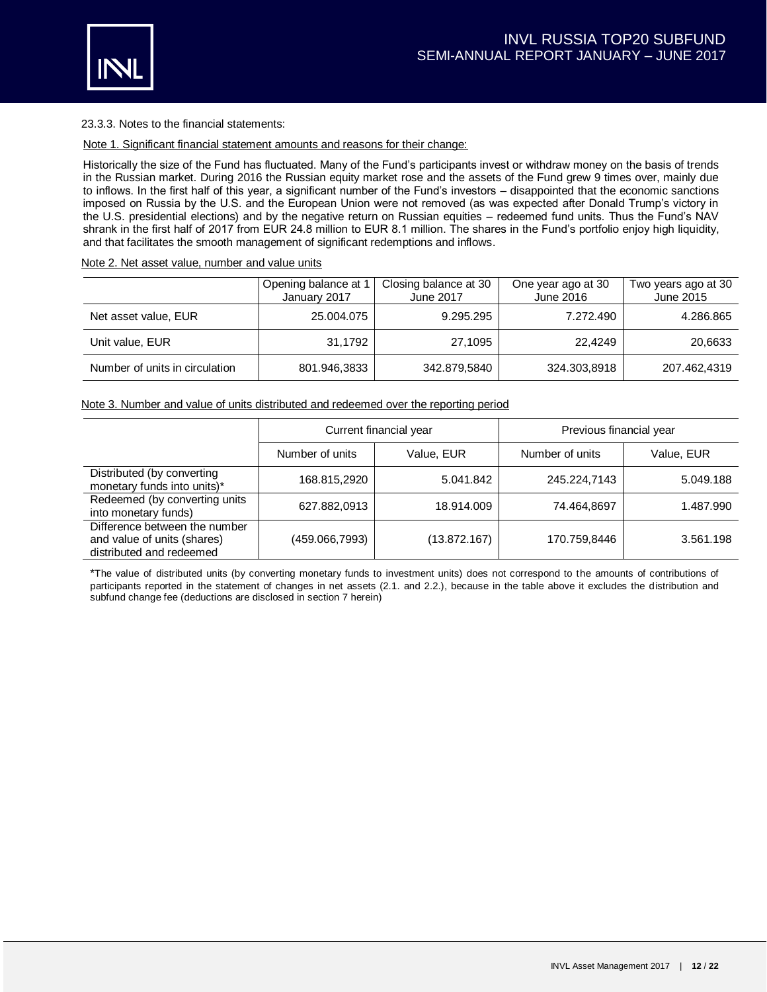

23.3.3. Notes to the financial statements:

Note 1. Significant financial statement amounts and reasons for their change:

Historically the size of the Fund has fluctuated. Many of the Fund's participants invest or withdraw money on the basis of trends in the Russian market. During 2016 the Russian equity market rose and the assets of the Fund grew 9 times over, mainly due to inflows. In the first half of this year, a significant number of the Fund's investors – disappointed that the economic sanctions imposed on Russia by the U.S. and the European Union were not removed (as was expected after Donald Trump's victory in the U.S. presidential elections) and by the negative return on Russian equities – redeemed fund units. Thus the Fund's NAV shrank in the first half of 2017 from EUR 24.8 million to EUR 8.1 million. The shares in the Fund's portfolio enjoy high liquidity, and that facilitates the smooth management of significant redemptions and inflows.

Note 2. Net asset value, number and value units

|                                | Opening balance at 1<br>January 2017 | Closing balance at 30<br>June 2017 | One year ago at 30<br>June 2016 | Two years ago at 30<br>June 2015 |
|--------------------------------|--------------------------------------|------------------------------------|---------------------------------|----------------------------------|
| Net asset value, EUR           | 25.004.075                           | 9.295.295                          | 7.272.490                       | 4.286.865                        |
| Unit value, EUR                | 31,1792                              | 27,1095                            | 22,4249                         | 20,6633                          |
| Number of units in circulation | 801.946,3833                         | 342.879,5840                       | 324.303,8918                    | 207.462,4319                     |

### Note 3. Number and value of units distributed and redeemed over the reporting period

|                                                                                          |                 | Current financial year | Previous financial year |            |  |
|------------------------------------------------------------------------------------------|-----------------|------------------------|-------------------------|------------|--|
|                                                                                          | Number of units | Value, EUR             | Number of units         | Value, EUR |  |
| Distributed (by converting<br>monetary funds into units)*                                | 168.815,2920    | 5.041.842              | 245.224,7143            | 5.049.188  |  |
| Redeemed (by converting units<br>into monetary funds)                                    | 627.882,0913    | 18.914.009             | 74.464,8697             | 1.487.990  |  |
| Difference between the number<br>and value of units (shares)<br>distributed and redeemed | (459.066,7993)  | (13.872.167)           | 170.759,8446            | 3.561.198  |  |

\*The value of distributed units (by converting monetary funds to investment units) does not correspond to the amounts of contributions of participants reported in the statement of changes in net assets (2.1. and 2.2.), because in the table above it excludes the distribution and subfund change fee (deductions are disclosed in section 7 herein)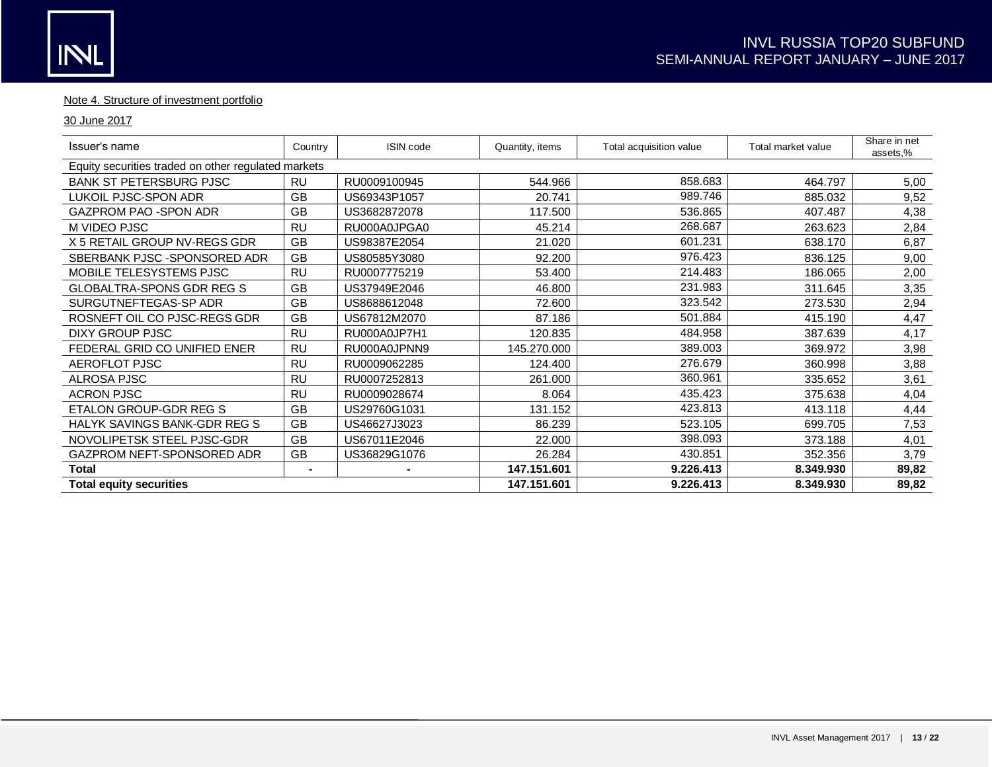# Note 4. Structure of investment portfolio

## 30 June 2017

| Issuer's name                                       | Country   | <b>ISIN code</b> | Quantity, items | Total acquisition value | Total market value | Share in net<br>assets,% |
|-----------------------------------------------------|-----------|------------------|-----------------|-------------------------|--------------------|--------------------------|
| Equity securities traded on other regulated markets |           |                  |                 |                         |                    |                          |
| <b>BANK ST PETERSBURG PJSC</b>                      | <b>RU</b> | RU0009100945     | 544.966         | 858.683                 | 464.797            | 5,00                     |
| LUKOIL PJSC-SPON ADR                                | <b>GB</b> | US69343P1057     | 20.741          | 989.746                 | 885.032            | 9,52                     |
| <b>GAZPROM PAO -SPON ADR</b>                        | GB        | US3682872078     | 117.500         | 536.865                 | 407.487            | 4,38                     |
| M VIDEO PJSC                                        | <b>RU</b> | RU000A0JPGA0     | 45.214          | 268.687                 | 263.623            | 2,84                     |
| X 5 RETAIL GROUP NV-REGS GDR                        | <b>GB</b> | US98387E2054     | 21.020          | 601.231                 | 638.170            | 6,87                     |
| SBERBANK PJSC - SPONSORED ADR                       | <b>GB</b> | US80585Y3080     | 92.200          | 976.423                 | 836.125            | 9,00                     |
| MOBILE TELESYSTEMS PJSC                             | <b>RU</b> | RU0007775219     | 53.400          | 214.483                 | 186.065            | 2,00                     |
| <b>GLOBALTRA-SPONS GDR REG S</b>                    | <b>GB</b> | US37949E2046     | 46.800          | 231.983                 | 311.645            | 3,35                     |
| SURGUTNEFTEGAS-SP ADR                               | <b>GB</b> | US8688612048     | 72.600          | 323.542                 | 273.530            | 2,94                     |
| ROSNEFT OIL CO PJSC-REGS GDR                        | <b>GB</b> | US67812M2070     | 87.186          | 501.884                 | 415.190            | 4,47                     |
| DIXY GROUP PJSC                                     | <b>RU</b> | RU000A0JP7H1     | 120.835         | 484.958                 | 387.639            | 4,17                     |
| FEDERAL GRID CO UNIFIED ENER                        | <b>RU</b> | RU000A0JPNN9     | 145.270.000     | 389.003                 | 369.972            | 3,98                     |
| AEROFLOT PJSC                                       | <b>RU</b> | RU0009062285     | 124.400         | 276.679                 | 360.998            | 3,88                     |
| ALROSA PJSC                                         | <b>RU</b> | RU0007252813     | 261.000         | 360.961                 | 335.652            | 3,61                     |
| <b>ACRON PJSC</b>                                   | <b>RU</b> | RU0009028674     | 8.064           | 435.423                 | 375.638            | 4,04                     |
| ETALON GROUP-GDR REG S                              | <b>GB</b> | US29760G1031     | 131.152         | 423.813                 | 413.118            | 4,44                     |
| <b>HALYK SAVINGS BANK-GDR REG S</b>                 | <b>GB</b> | US46627J3023     | 86.239          | 523.105                 | 699.705            | 7,53                     |
| NOVOLIPETSK STEEL PJSC-GDR                          | <b>GB</b> | US67011E2046     | 22.000          | 398.093                 | 373.188            | 4,01                     |
| GAZPROM NEFT-SPONSORED ADR                          | GB        | US36829G1076     | 26.284          | 430.851                 | 352.356            | 3,79                     |
| Total                                               |           |                  | 147.151.601     | 9.226.413               | 8.349.930          | 89,82                    |
| <b>Total equity securities</b>                      |           |                  | 147.151.601     | 9.226.413               | 8.349.930          | 89,82                    |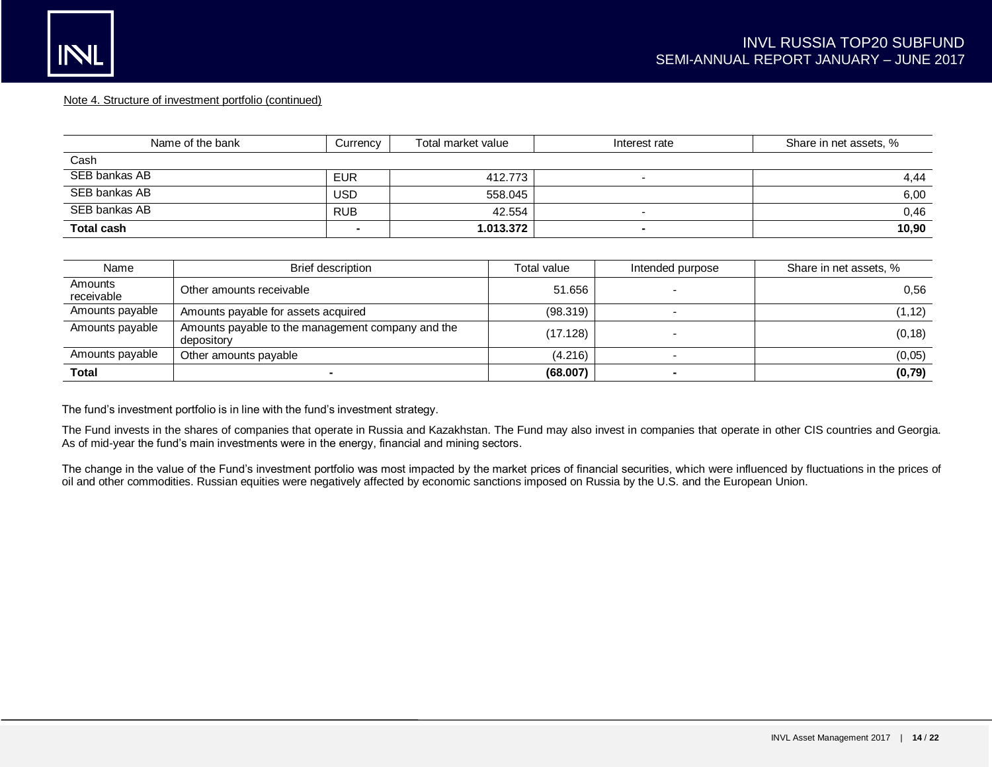#### Note 4. Structure of investment portfolio (continued)

| Name of the bank  | Currency   | Total market value | Interest rate            | Share in net assets, % |
|-------------------|------------|--------------------|--------------------------|------------------------|
| Cash              |            |                    |                          |                        |
| SEB bankas AB     | <b>EUR</b> | 412.773            |                          | 4,44                   |
| SEB bankas AB     | USD        | 558.045            |                          | 6,00                   |
| SEB bankas AB     | <b>RUB</b> | 42.554             |                          | 0,46                   |
| <b>Total cash</b> | -          | 1.013.372          | $\overline{\phantom{a}}$ | 10,90                  |

| Name                  | <b>Brief description</b>                                        | Total value | Intended purpose | Share in net assets, % |
|-----------------------|-----------------------------------------------------------------|-------------|------------------|------------------------|
| Amounts<br>receivable | Other amounts receivable                                        | 51.656      |                  | 0.56                   |
| Amounts payable       | Amounts payable for assets acquired                             | (98.319)    |                  | (1, 12)                |
| Amounts payable       | Amounts payable to the management company and the<br>depository | (17.128)    |                  | (0, 18)                |
| Amounts payable       | Other amounts pavable                                           | (4.216)     |                  | (0,05)                 |
| Total                 |                                                                 | (68.007)    |                  | (0, 79)                |

The fund's investment portfolio is in line with the fund's investment strategy.

The Fund invests in the shares of companies that operate in Russia and Kazakhstan. The Fund may also invest in companies that operate in other CIS countries and Georgia. As of mid-year the fund's main investments were in the energy, financial and mining sectors.

The change in the value of the Fund's investment portfolio was most impacted by the market prices of financial securities, which were influenced by fluctuations in the prices of oil and other commodities. Russian equities were negatively affected by economic sanctions imposed on Russia by the U.S. and the European Union.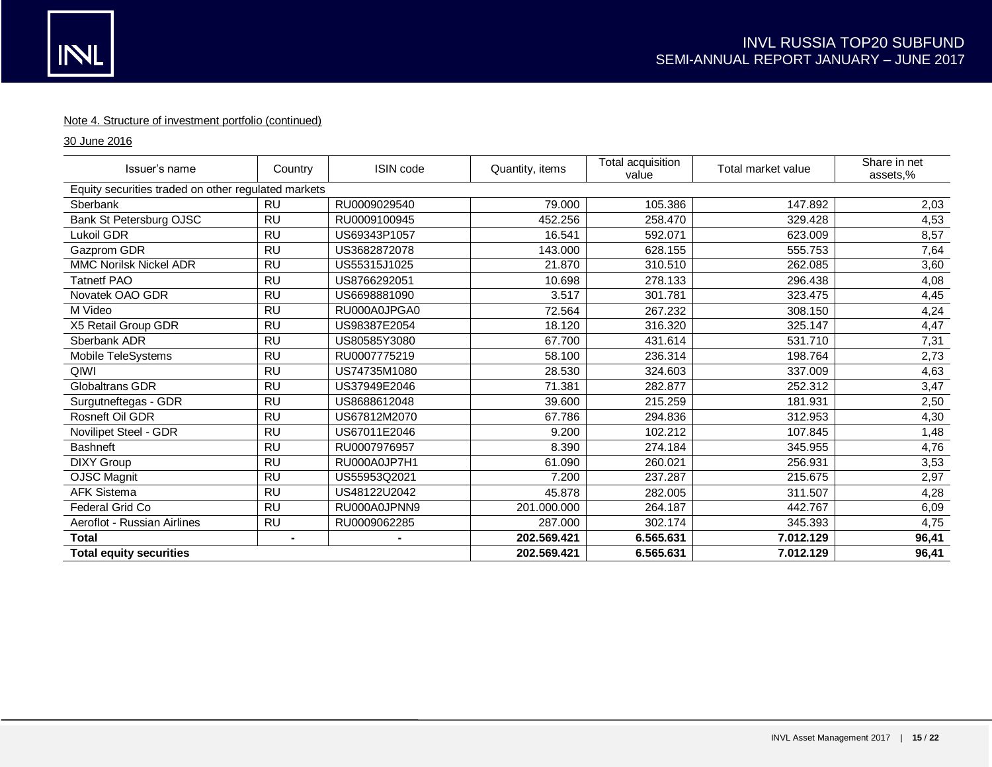## Note 4. Structure of investment portfolio (continued)

30 June 2016

| Issuer's name                                       | Country   | <b>ISIN</b> code | Quantity, items | Total acquisition<br>value | Total market value | Share in net<br>assets,% |
|-----------------------------------------------------|-----------|------------------|-----------------|----------------------------|--------------------|--------------------------|
| Equity securities traded on other regulated markets |           |                  |                 |                            |                    |                          |
| Sberbank                                            | <b>RU</b> | RU0009029540     | 79.000          | 105.386                    | 147.892            | 2,03                     |
| Bank St Petersburg OJSC                             | <b>RU</b> | RU0009100945     | 452.256         | 258.470                    | 329.428            | 4,53                     |
| Lukoil GDR                                          | <b>RU</b> | US69343P1057     | 16.541          | 592.071                    | 623.009            | 8,57                     |
| Gazprom GDR                                         | <b>RU</b> | US3682872078     | 143.000         | 628.155                    | 555.753            | 7,64                     |
| <b>MMC Norilsk Nickel ADR</b>                       | <b>RU</b> | US55315J1025     | 21.870          | 310.510                    | 262.085            | 3,60                     |
| <b>Tatnetf PAO</b>                                  | <b>RU</b> | US8766292051     | 10.698          | 278.133                    | 296.438            | 4,08                     |
| Novatek OAO GDR                                     | <b>RU</b> | US6698881090     | 3.517           | 301.781                    | 323.475            | 4,45                     |
| M Video                                             | <b>RU</b> | RU000A0JPGA0     | 72.564          | 267.232                    | 308.150            | 4,24                     |
| X5 Retail Group GDR                                 | <b>RU</b> | US98387E2054     | 18.120          | 316.320                    | 325.147            | 4,47                     |
| Sberbank ADR                                        | <b>RU</b> | US80585Y3080     | 67.700          | 431.614                    | 531.710            | 7,31                     |
| Mobile TeleSystems                                  | <b>RU</b> | RU0007775219     | 58.100          | 236.314                    | 198.764            | 2,73                     |
| QIWI                                                | <b>RU</b> | US74735M1080     | 28.530          | 324.603                    | 337.009            | 4,63                     |
| Globaltrans GDR                                     | <b>RU</b> | US37949E2046     | 71.381          | 282.877                    | 252.312            | 3,47                     |
| Surgutneftegas - GDR                                | <b>RU</b> | US8688612048     | 39.600          | 215.259                    | 181.931            | 2,50                     |
| Rosneft Oil GDR                                     | <b>RU</b> | US67812M2070     | 67.786          | 294.836                    | 312.953            | 4,30                     |
| Novilipet Steel - GDR                               | <b>RU</b> | US67011E2046     | 9.200           | 102.212                    | 107.845            | 1,48                     |
| <b>Bashneft</b>                                     | <b>RU</b> | RU0007976957     | 8.390           | 274.184                    | 345.955            | 4,76                     |
| <b>DIXY Group</b>                                   | <b>RU</b> | RU000A0JP7H1     | 61.090          | 260.021                    | 256.931            | 3,53                     |
| <b>OJSC Magnit</b>                                  | <b>RU</b> | US55953Q2021     | 7.200           | 237.287                    | 215.675            | 2,97                     |
| <b>AFK Sistema</b>                                  | <b>RU</b> | US48122U2042     | 45.878          | 282.005                    | 311.507            | 4,28                     |
| Federal Grid Co                                     | <b>RU</b> | RU000A0JPNN9     | 201.000.000     | 264.187                    | 442.767            | 6,09                     |
| Aeroflot - Russian Airlines                         | <b>RU</b> | RU0009062285     | 287.000         | 302.174                    | 345.393            | 4,75                     |
| <b>Total</b>                                        | ۰.        | ۰.               | 202.569.421     | 6.565.631                  | 7.012.129          | 96,41                    |
| <b>Total equity securities</b>                      |           |                  | 202.569.421     | 6.565.631                  | 7.012.129          | 96,41                    |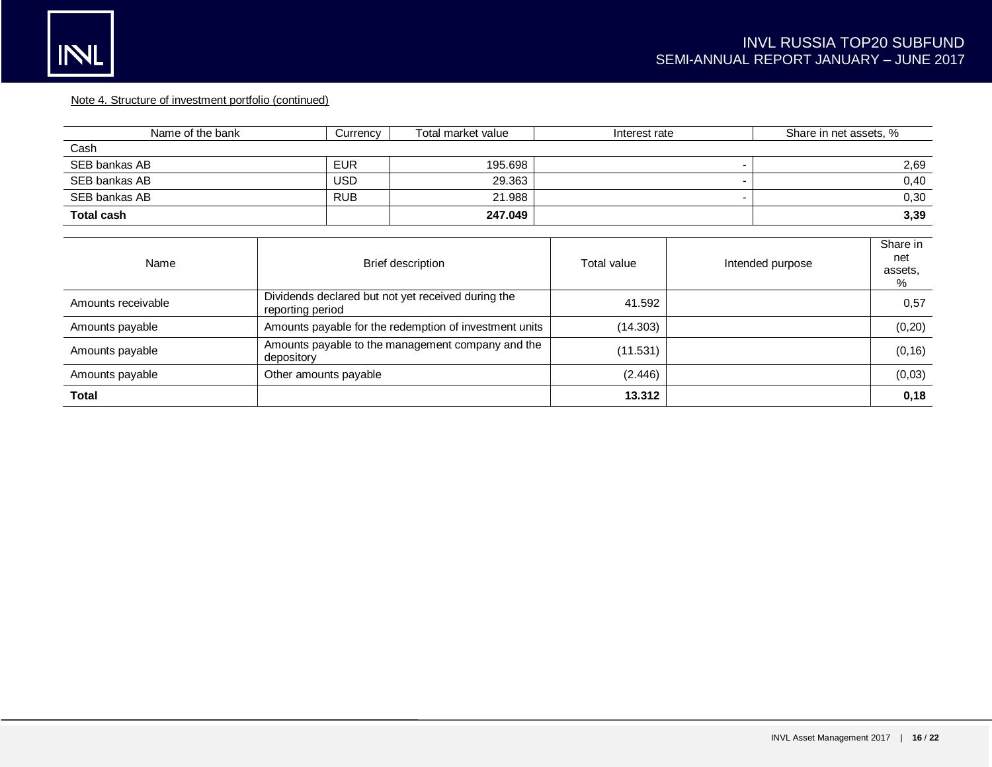## Note 4. Structure of investment portfolio (continued)

| Name of the bank   | Currency                                                               | Total market value | Interest rate            |                  | Share in net assets, % |                                 |  |
|--------------------|------------------------------------------------------------------------|--------------------|--------------------------|------------------|------------------------|---------------------------------|--|
| Cash               |                                                                        |                    |                          |                  |                        |                                 |  |
| SEB bankas AB      | <b>EUR</b>                                                             | 195.698            | $\overline{\phantom{a}}$ |                  | 2,69                   |                                 |  |
| SEB bankas AB      | USD.                                                                   | 29.363             |                          |                  | 0,40                   |                                 |  |
| SEB bankas AB      | <b>RUB</b>                                                             | 21.988             |                          |                  |                        | 0,30                            |  |
| <b>Total cash</b>  |                                                                        | 247.049            |                          |                  |                        | 3,39                            |  |
|                    |                                                                        |                    |                          |                  |                        |                                 |  |
| Name               | <b>Brief description</b>                                               |                    | Total value              | Intended purpose |                        | Share in<br>net<br>assets,<br>% |  |
| Amounts receivable | Dividends declared but not yet received during the<br>reporting period |                    | 41.592                   |                  |                        | 0,57                            |  |
| Amounts payable    | Amounts payable for the redemption of investment units                 |                    | (14.303)                 |                  |                        | (0, 20)                         |  |
| Amounts payable    | Amounts payable to the management company and the<br>depository        |                    | (11.531)                 |                  |                        | (0, 16)                         |  |
| Amounts payable    | Other amounts payable                                                  |                    | (2.446)                  |                  |                        | (0,03)                          |  |
| Total              |                                                                        |                    | 13.312                   |                  |                        | 0,18                            |  |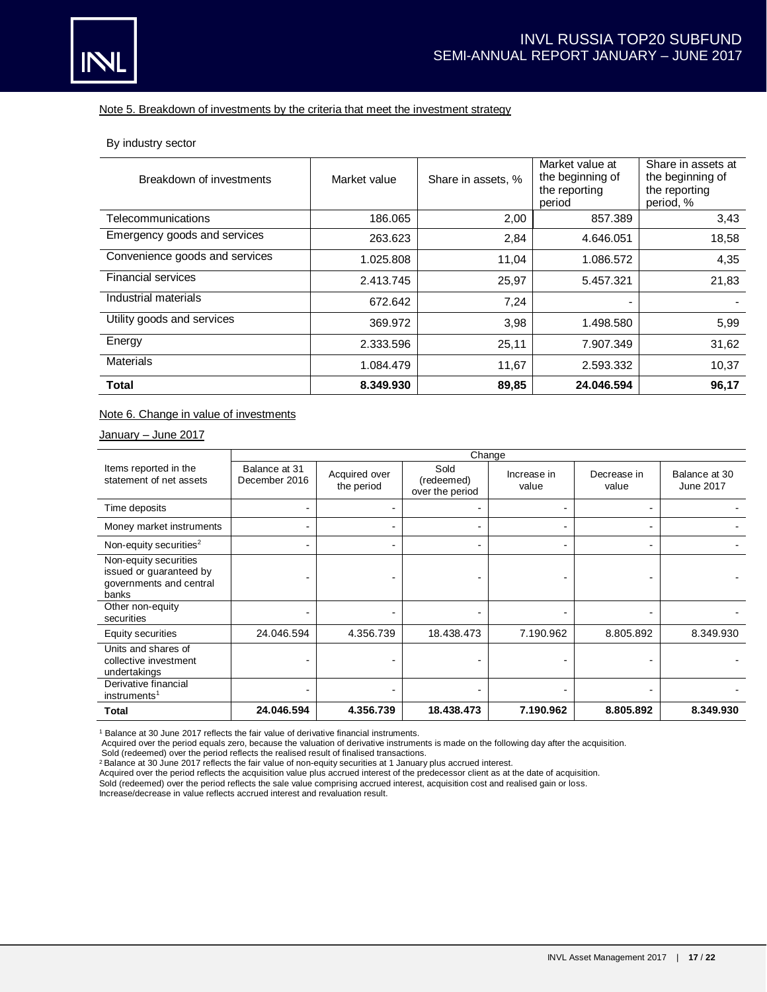

#### Note 5. Breakdown of investments by the criteria that meet the investment strategy

By industry sector

| Breakdown of investments       | Market value | Share in assets, % | Market value at<br>the beginning of<br>the reporting<br>period | Share in assets at<br>the beginning of<br>the reporting<br>period, % |
|--------------------------------|--------------|--------------------|----------------------------------------------------------------|----------------------------------------------------------------------|
| Telecommunications             | 186.065      | 2,00               | 857.389                                                        | 3,43                                                                 |
| Emergency goods and services   | 263.623      | 2,84               | 4.646.051                                                      | 18,58                                                                |
| Convenience goods and services | 1.025.808    | 11,04              | 1.086.572                                                      | 4,35                                                                 |
| <b>Financial services</b>      | 2.413.745    | 25,97              | 5.457.321                                                      | 21,83                                                                |
| Industrial materials           | 672.642      | 7,24               |                                                                |                                                                      |
| Utility goods and services     | 369.972      | 3,98               | 1.498.580                                                      | 5,99                                                                 |
| Energy                         | 2.333.596    | 25,11              | 7.907.349                                                      | 31,62                                                                |
| <b>Materials</b>               | 1.084.479    | 11,67              | 2.593.332                                                      | 10,37                                                                |
| <b>Total</b>                   | 8.349.930    | 89,85              | 24.046.594                                                     | 96,17                                                                |

## Note 6. Change in value of investments

January – June 2017

|                                                                                      | Change                         |                             |                                       |                      |                      |                            |
|--------------------------------------------------------------------------------------|--------------------------------|-----------------------------|---------------------------------------|----------------------|----------------------|----------------------------|
| Items reported in the<br>statement of net assets                                     | Balance at 31<br>December 2016 | Acquired over<br>the period | Sold<br>(redeemed)<br>over the period | Increase in<br>value | Decrease in<br>value | Balance at 30<br>June 2017 |
| Time deposits                                                                        | $\overline{\phantom{0}}$       |                             |                                       |                      |                      |                            |
| Money market instruments                                                             | $\blacksquare$                 |                             | -                                     |                      |                      |                            |
| Non-equity securities <sup>2</sup>                                                   | $\blacksquare$                 |                             | $\overline{\phantom{0}}$              |                      | -                    |                            |
| Non-equity securities<br>issued or guaranteed by<br>governments and central<br>banks |                                |                             |                                       |                      |                      |                            |
| Other non-equity<br>securities                                                       | $\overline{\phantom{0}}$       | $\overline{\phantom{0}}$    | ٠                                     |                      |                      |                            |
| Equity securities                                                                    | 24.046.594                     | 4.356.739                   | 18.438.473                            | 7.190.962            | 8.805.892            | 8.349.930                  |
| Units and shares of<br>collective investment<br>undertakings                         |                                |                             |                                       |                      |                      |                            |
| Derivative financial<br>instruments <sup>1</sup>                                     |                                |                             |                                       |                      |                      |                            |
| Total                                                                                | 24.046.594                     | 4.356.739                   | 18.438.473                            | 7.190.962            | 8.805.892            | 8.349.930                  |

<sup>1</sup> Balance at 30 June 2017 reflects the fair value of derivative financial instruments.

Acquired over the period equals zero, because the valuation of derivative instruments is made on the following day after the acquisition.

Sold (redeemed) over the period reflects the realised result of finalised transactions.

<sup>2</sup>Balance at 30 June 2017 reflects the fair value of non-equity securities at 1 January plus accrued interest.

Acquired over the period reflects the acquisition value plus accrued interest of the predecessor client as at the date of acquisition.

Sold (redeemed) over the period reflects the sale value comprising accrued interest, acquisition cost and realised gain or loss.

Increase/decrease in value reflects accrued interest and revaluation result.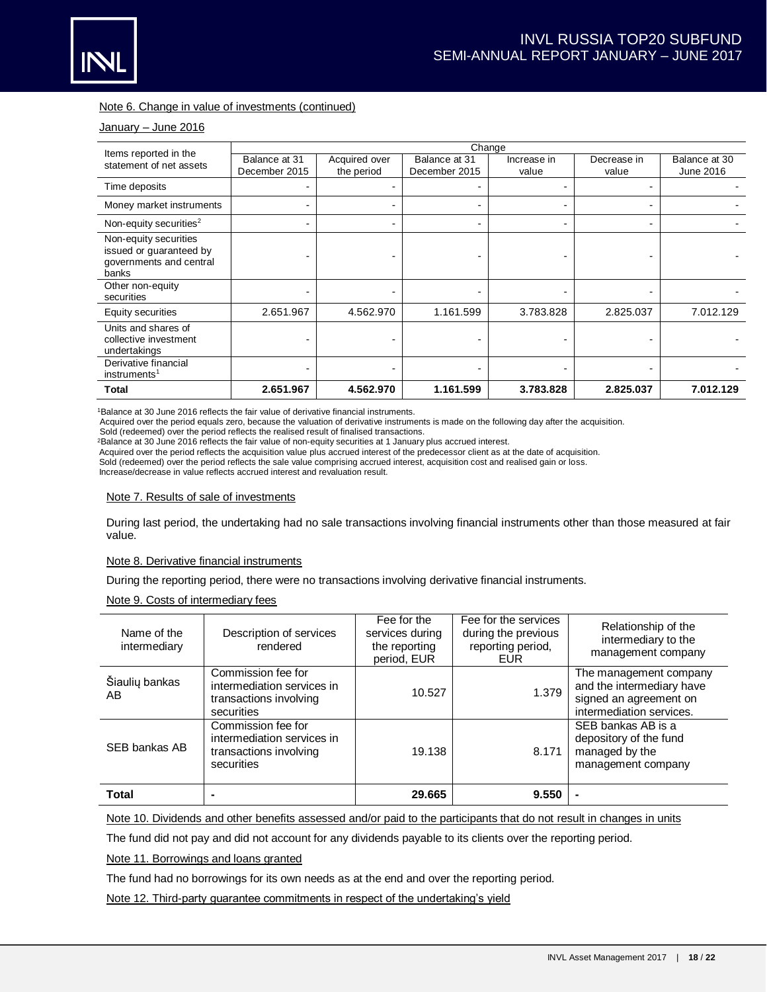

## Note 6. Change in value of investments (continued)

#### January – June 2016

|                                                                                      | Change                         |                             |                                |                      |                      |                            |  |
|--------------------------------------------------------------------------------------|--------------------------------|-----------------------------|--------------------------------|----------------------|----------------------|----------------------------|--|
| Items reported in the<br>statement of net assets                                     | Balance at 31<br>December 2015 | Acquired over<br>the period | Balance at 31<br>December 2015 | Increase in<br>value | Decrease in<br>value | Balance at 30<br>June 2016 |  |
| Time deposits                                                                        |                                |                             |                                |                      |                      |                            |  |
| Money market instruments                                                             | $\overline{\phantom{0}}$       |                             |                                |                      |                      |                            |  |
| Non-equity securities <sup>2</sup>                                                   | $\overline{\phantom{0}}$       |                             |                                |                      |                      |                            |  |
| Non-equity securities<br>issued or guaranteed by<br>governments and central<br>banks |                                |                             |                                |                      |                      |                            |  |
| Other non-equity<br>securities                                                       |                                |                             |                                |                      |                      |                            |  |
| Equity securities                                                                    | 2.651.967                      | 4.562.970                   | 1.161.599                      | 3.783.828            | 2.825.037            | 7.012.129                  |  |
| Units and shares of<br>collective investment<br>undertakings                         |                                |                             |                                |                      |                      |                            |  |
| Derivative financial<br>instruments <sup>1</sup>                                     |                                |                             |                                |                      |                      |                            |  |
| <b>Total</b>                                                                         | 2.651.967                      | 4.562.970                   | 1.161.599                      | 3.783.828            | 2.825.037            | 7.012.129                  |  |

<sup>1</sup>Balance at 30 June 2016 reflects the fair value of derivative financial instruments.

Acquired over the period equals zero, because the valuation of derivative instruments is made on the following day after the acquisition.

Sold (redeemed) over the period reflects the realised result of finalised transactions.

<sup>2</sup>Balance at 30 June 2016 reflects the fair value of non-equity securities at 1 January plus accrued interest.

Acquired over the period reflects the acquisition value plus accrued interest of the predecessor client as at the date of acquisition.

Sold (redeemed) over the period reflects the sale value comprising accrued interest, acquisition cost and realised gain or loss.

Increase/decrease in value reflects accrued interest and revaluation result.

#### Note 7. Results of sale of investments

During last period, the undertaking had no sale transactions involving financial instruments other than those measured at fair value.

#### Note 8. Derivative financial instruments

During the reporting period, there were no transactions involving derivative financial instruments.

### Note 9. Costs of intermediary fees

| Name of the<br>intermediary | Description of services<br>rendered                                                      | Fee for the<br>services during<br>the reporting<br>period, EUR | Fee for the services<br>during the previous<br>reporting period,<br><b>EUR</b> | Relationship of the<br>intermediary to the<br>management company                                          |
|-----------------------------|------------------------------------------------------------------------------------------|----------------------------------------------------------------|--------------------------------------------------------------------------------|-----------------------------------------------------------------------------------------------------------|
| Šiaulių bankas<br>AB        | Commission fee for<br>intermediation services in<br>transactions involving<br>securities | 10.527                                                         | 1.379                                                                          | The management company<br>and the intermediary have<br>signed an agreement on<br>intermediation services. |
| SEB bankas AB               | Commission fee for<br>intermediation services in<br>transactions involving<br>securities | 19.138                                                         | 8.171                                                                          | SEB bankas AB is a<br>depository of the fund<br>managed by the<br>management company                      |
| <b>Total</b>                |                                                                                          | 29.665                                                         | 9.550                                                                          |                                                                                                           |

Note 10. Dividends and other benefits assessed and/or paid to the participants that do not result in changes in units

The fund did not pay and did not account for any dividends payable to its clients over the reporting period.

Note 11. Borrowings and loans granted

The fund had no borrowings for its own needs as at the end and over the reporting period.

Note 12. Third-party guarantee commitments in respect of the undertaking's yield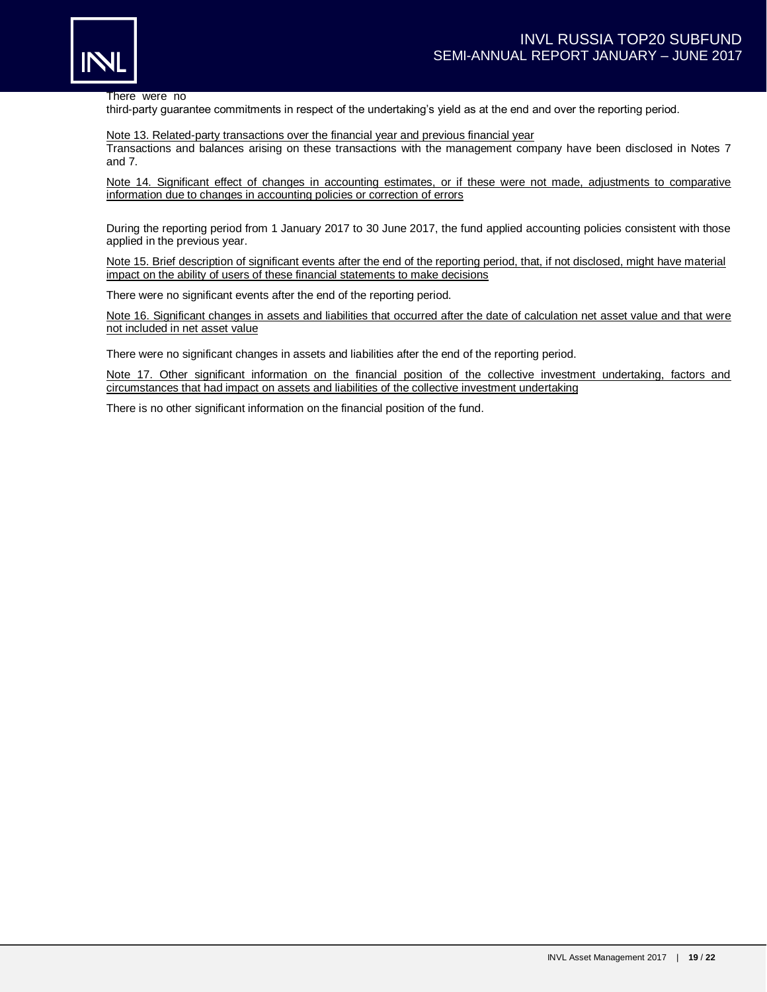

There were no

third-party guarantee commitments in respect of the undertaking's yield as at the end and over the reporting period.

Note 13. Related-party transactions over the financial year and previous financial year Transactions and balances arising on these transactions with the management company have been disclosed in Notes 7 and 7.

Note 14. Significant effect of changes in accounting estimates, or if these were not made, adjustments to comparative information due to changes in accounting policies or correction of errors

During the reporting period from 1 January 2017 to 30 June 2017, the fund applied accounting policies consistent with those applied in the previous year.

Note 15. Brief description of significant events after the end of the reporting period, that, if not disclosed, might have material impact on the ability of users of these financial statements to make decisions

There were no significant events after the end of the reporting period.

Note 16. Significant changes in assets and liabilities that occurred after the date of calculation net asset value and that were not included in net asset value

There were no significant changes in assets and liabilities after the end of the reporting period.

Note 17. Other significant information on the financial position of the collective investment undertaking, factors and circumstances that had impact on assets and liabilities of the collective investment undertaking

There is no other significant information on the financial position of the fund.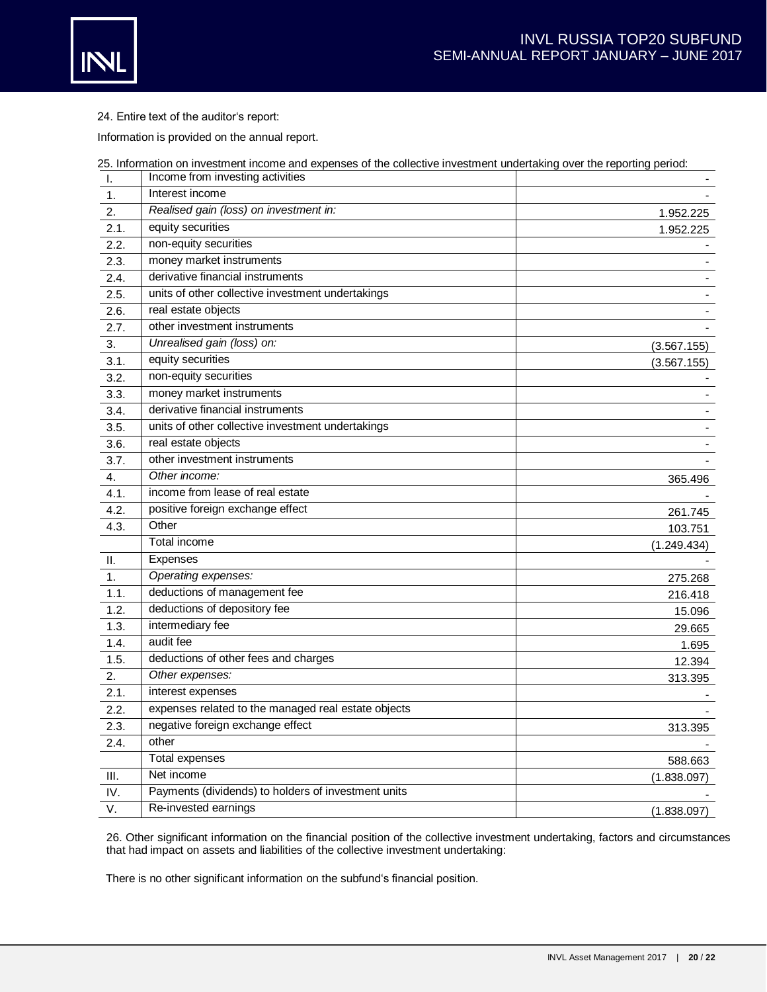

24. Entire text of the auditor's report:

Information is provided on the annual report.

|      | 25. Information on investment income and expenses of the collective investment undertaking over the reporting period:<br>Income from investing activities |             |
|------|-----------------------------------------------------------------------------------------------------------------------------------------------------------|-------------|
| Τ.   | Interest income                                                                                                                                           |             |
| 1.   |                                                                                                                                                           |             |
| 2.   | Realised gain (loss) on investment in:                                                                                                                    | 1.952.225   |
| 2.1. | equity securities                                                                                                                                         | 1.952.225   |
| 2.2. | non-equity securities                                                                                                                                     |             |
| 2.3. | money market instruments                                                                                                                                  |             |
| 2.4. | derivative financial instruments                                                                                                                          |             |
| 2.5. | units of other collective investment undertakings                                                                                                         |             |
| 2.6. | real estate objects                                                                                                                                       |             |
| 2.7. | other investment instruments                                                                                                                              |             |
| 3.   | Unrealised gain (loss) on:                                                                                                                                | (3.567.155) |
| 3.1. | equity securities                                                                                                                                         | (3.567.155) |
| 3.2. | non-equity securities                                                                                                                                     |             |
| 3.3. | money market instruments                                                                                                                                  |             |
| 3.4. | derivative financial instruments                                                                                                                          |             |
| 3.5. | units of other collective investment undertakings                                                                                                         |             |
| 3.6. | real estate objects                                                                                                                                       |             |
| 3.7. | other investment instruments                                                                                                                              |             |
| 4.   | Other income:                                                                                                                                             | 365.496     |
| 4.1. | income from lease of real estate                                                                                                                          |             |
| 4.2. | positive foreign exchange effect                                                                                                                          | 261.745     |
| 4.3. | Other                                                                                                                                                     | 103.751     |
|      | Total income                                                                                                                                              | (1.249.434) |
| H.   | <b>Expenses</b>                                                                                                                                           |             |
| 1.   | Operating expenses:                                                                                                                                       | 275.268     |
| 1.1. | deductions of management fee                                                                                                                              | 216.418     |
| 1.2. | deductions of depository fee                                                                                                                              | 15.096      |
| 1.3. | intermediary fee                                                                                                                                          | 29.665      |
| 1.4. | audit fee                                                                                                                                                 | 1.695       |
| 1.5. | deductions of other fees and charges                                                                                                                      | 12.394      |
| 2.   | Other expenses:                                                                                                                                           | 313.395     |
| 2.1. | interest expenses                                                                                                                                         |             |
| 2.2. | expenses related to the managed real estate objects                                                                                                       |             |
| 2.3. | negative foreign exchange effect                                                                                                                          | 313.395     |
| 2.4. | other                                                                                                                                                     |             |
|      | Total expenses                                                                                                                                            | 588.663     |
| Ш.   | Net income                                                                                                                                                | (1.838.097) |
| IV.  | Payments (dividends) to holders of investment units                                                                                                       |             |
| V.   | Re-invested earnings                                                                                                                                      | (1.838.097) |
|      |                                                                                                                                                           |             |

26. Other significant information on the financial position of the collective investment undertaking, factors and circumstances that had impact on assets and liabilities of the collective investment undertaking:

There is no other significant information on the subfund's financial position.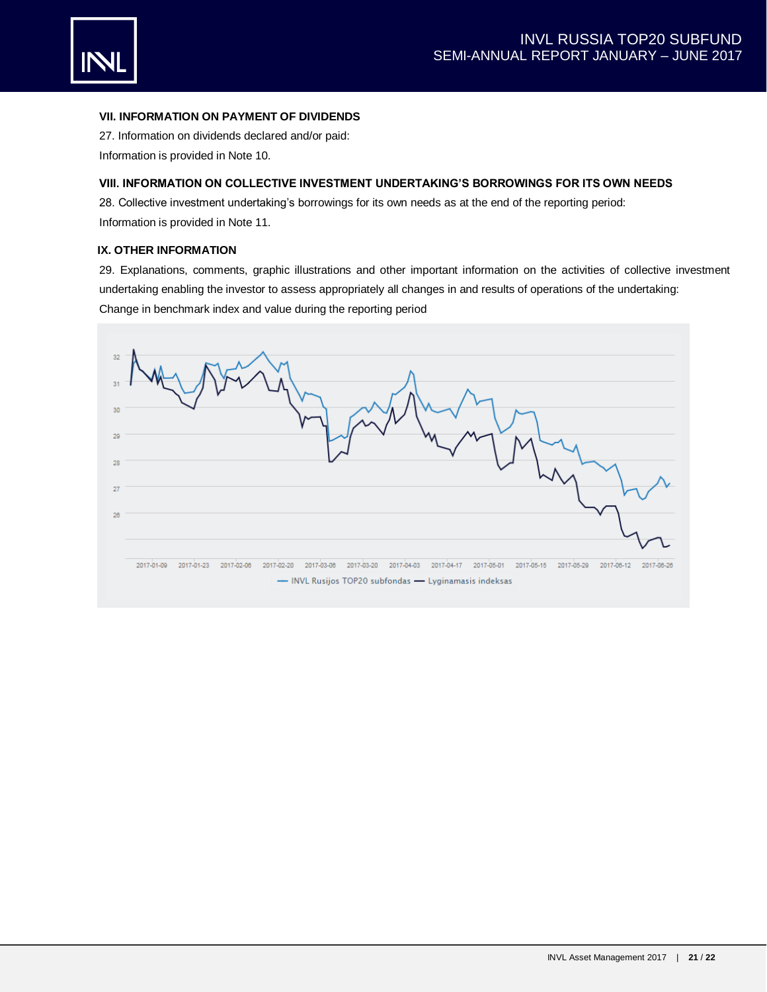

## **VII. INFORMATION ON PAYMENT OF DIVIDENDS**

27. Information on dividends declared and/or paid: Information is provided in Note 10.

# **VIII. INFORMATION ON COLLECTIVE INVESTMENT UNDERTAKING'S BORROWINGS FOR ITS OWN NEEDS**

28. Collective investment undertaking's borrowings for its own needs as at the end of the reporting period: Information is provided in Note 11.

# **IX. OTHER INFORMATION**

29. Explanations, comments, graphic illustrations and other important information on the activities of collective investment undertaking enabling the investor to assess appropriately all changes in and results of operations of the undertaking: Change in benchmark index and value during the reporting period